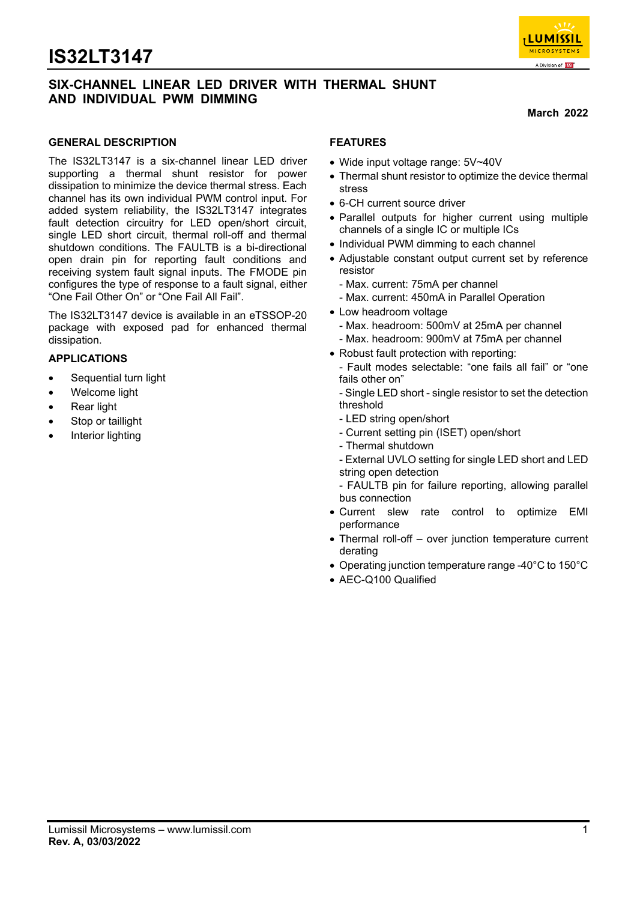



#### **March 2022**

#### **GENERAL DESCRIPTION**

The IS32LT3147 is a six-channel linear LED driver supporting a thermal shunt resistor for power dissipation to minimize the device thermal stress. Each channel has its own individual PWM control input. For added system reliability, the IS32LT3147 integrates fault detection circuitry for LED open/short circuit, single LED short circuit, thermal roll-off and thermal shutdown conditions. The FAULTB is a bi-directional open drain pin for reporting fault conditions and receiving system fault signal inputs. The FMODE pin configures the type of response to a fault signal, either "One Fail Other On" or "One Fail All Fail".

The IS32LT3147 device is available in an eTSSOP-20 package with exposed pad for enhanced thermal dissipation.

#### **APPLICATIONS**

- Sequential turn light
- Welcome light
- **Rear light**
- Stop or taillight
- Interior lighting

#### **FEATURES**

- Wide input voltage range: 5V~40V
- Thermal shunt resistor to optimize the device thermal stress
- 6-CH current source driver
- Parallel outputs for higher current using multiple channels of a single IC or multiple ICs
- Individual PWM dimming to each channel
- Adjustable constant output current set by reference resistor
	- Max. current: 75mA per channel
	- Max. current: 450mA in Parallel Operation
- Low headroom voltage
- Max. headroom: 500mV at 25mA per channel - Max. headroom: 900mV at 75mA per channel
- Robust fault protection with reporting:
	- Fault modes selectable: "one fails all fail" or "one fails other on"
	- Single LED short single resistor to set the detection threshold
	- LED string open/short
	- Current setting pin (ISET) open/short
	- Thermal shutdown
	- External UVLO setting for single LED short and LED string open detection
- FAULTB pin for failure reporting, allowing parallel bus connection
- Current slew rate control to optimize EMI performance
- Thermal roll-off over junction temperature current derating
- Operating junction temperature range -40°C to 150°C
- AEC-Q100 Qualified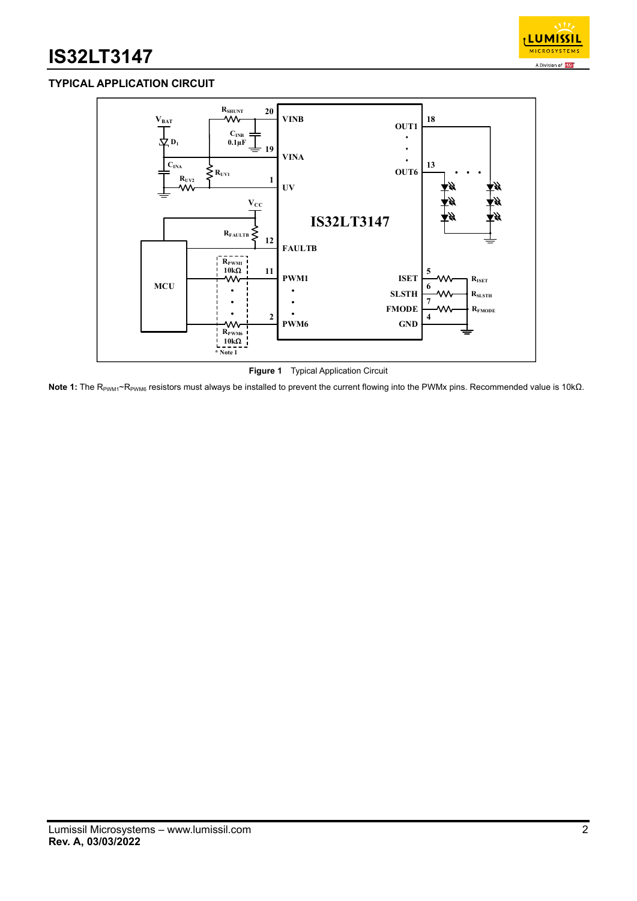

## **TYPICAL APPLICATION CIRCUIT**



**Figure 1** Typical Application Circuit

Note 1: The R<sub>PWM1</sub>~R<sub>PWM6</sub> resistors must always be installed to prevent the current flowing into the PWMx pins. Recommended value is 10kΩ.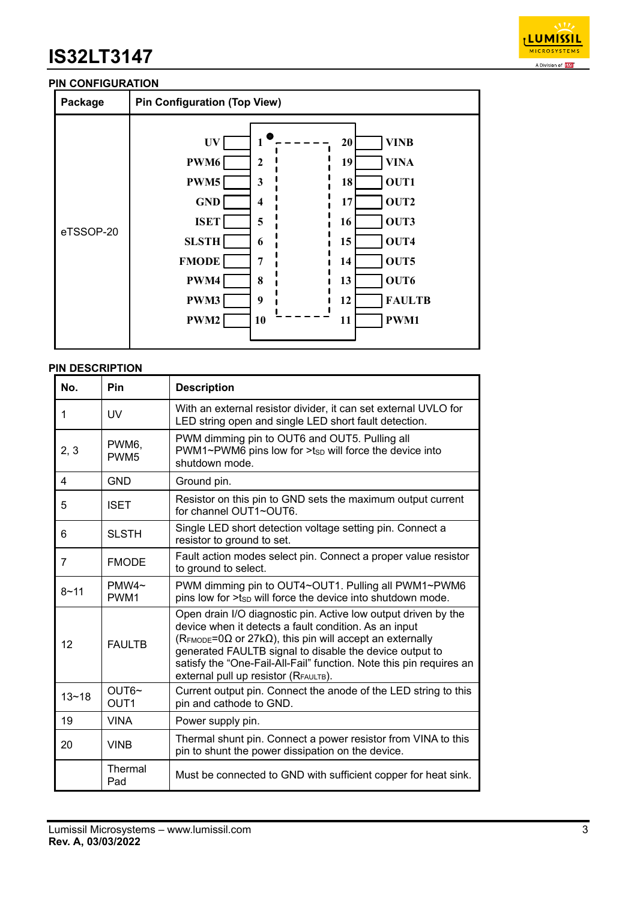

### **PIN CONFIGURATION**

| Package   |                                                                                                         | <b>Pin Configuration (Top View)</b>                                     |                                                                                                                                                                 |  |  |  |  |
|-----------|---------------------------------------------------------------------------------------------------------|-------------------------------------------------------------------------|-----------------------------------------------------------------------------------------------------------------------------------------------------------------|--|--|--|--|
| eTSSOP-20 | UV<br>PWM6<br>PWM5<br><b>GND</b><br><b>ISET</b><br><b>SLSTH</b><br><b>FMODE</b><br>PWM4<br>PWM3<br>PWM2 | 1<br>$\mathbf{2}$<br>3<br>4<br>5<br>6<br>$\overline{7}$<br>8<br>9<br>10 | <b>VINB</b><br>20<br><b>VINA</b><br>19<br>OUT1<br>18<br>OUT2<br>17<br>OUT3<br>16<br>OUT4<br>15<br>OUT5<br>14<br>OUT6<br>13<br><b>FAULTB</b><br>12<br>PWM1<br>11 |  |  |  |  |

#### **PIN DESCRIPTION**

| No.       | Pin                       | <b>Description</b>                                                                                                                                                                                                                                                                                                                                                            |
|-----------|---------------------------|-------------------------------------------------------------------------------------------------------------------------------------------------------------------------------------------------------------------------------------------------------------------------------------------------------------------------------------------------------------------------------|
| 1         | <b>UV</b>                 | With an external resistor divider, it can set external UVLO for<br>LED string open and single LED short fault detection.                                                                                                                                                                                                                                                      |
| 2, 3      | PWM6,<br>PWM <sub>5</sub> | PWM dimming pin to OUT6 and OUT5. Pulling all<br>PWM1~PWM6 pins low for >tsp will force the device into<br>shutdown mode.                                                                                                                                                                                                                                                     |
| 4         | <b>GND</b>                | Ground pin.                                                                                                                                                                                                                                                                                                                                                                   |
| 5         | <b>ISET</b>               | Resistor on this pin to GND sets the maximum output current<br>for channel OUT1~OUT6.                                                                                                                                                                                                                                                                                         |
| 6         | <b>SLSTH</b>              | Single LED short detection voltage setting pin. Connect a<br>resistor to ground to set.                                                                                                                                                                                                                                                                                       |
| 7         | <b>FMODE</b>              | Fault action modes select pin. Connect a proper value resistor<br>to ground to select.                                                                                                                                                                                                                                                                                        |
| $8 - 11$  | PMW4~<br>PWM <sub>1</sub> | PWM dimming pin to OUT4~OUT1. Pulling all PWM1~PWM6<br>pins low for >tsp will force the device into shutdown mode.                                                                                                                                                                                                                                                            |
| 12        | <b>FAULTB</b>             | Open drain I/O diagnostic pin. Active low output driven by the<br>device when it detects a fault condition. As an input<br>(RFMODE=0 $\Omega$ or 27k $\Omega$ ), this pin will accept an externally<br>generated FAULTB signal to disable the device output to<br>satisfy the "One-Fail-All-Fail" function. Note this pin requires an<br>external pull up resistor (RFAULTB). |
| $13 - 18$ | OUT6~<br>OUT <sub>1</sub> | Current output pin. Connect the anode of the LED string to this<br>pin and cathode to GND.                                                                                                                                                                                                                                                                                    |
| 19        | <b>VINA</b>               | Power supply pin.                                                                                                                                                                                                                                                                                                                                                             |
| 20        | <b>VINB</b>               | Thermal shunt pin. Connect a power resistor from VINA to this<br>pin to shunt the power dissipation on the device.                                                                                                                                                                                                                                                            |
|           | Thermal<br>Pad            | Must be connected to GND with sufficient copper for heat sink.                                                                                                                                                                                                                                                                                                                |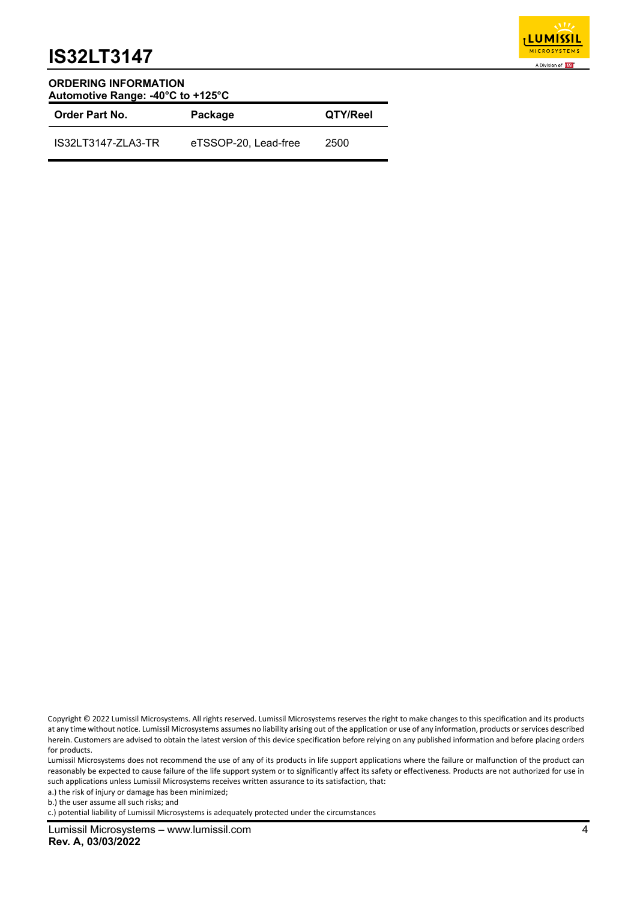

#### **ORDERING INFORMATION Automotive Range: -40°C to +125°C**

| <b>Order Part No.</b> | Package              | QTY/Reel |  |
|-----------------------|----------------------|----------|--|
| IS32LT3147-ZLA3-TR    | eTSSOP-20, Lead-free | 2500     |  |

Lumissil Microsystems does not recommend the use of any of its products in life support applications where the failure or malfunction of the product can reasonably be expected to cause failure of the life support system or to significantly affect its safety or effectiveness. Products are not authorized for use in such applications unless Lumissil Microsystems receives written assurance to its satisfaction, that:

a.) the risk of injury or damage has been minimized;

b.) the user assume all such risks; and

c.) potential liability of Lumissil Microsystems is adequately protected under the circumstances

Copyright © 2022 Lumissil Microsystems. All rights reserved. Lumissil Microsystems reserves the right to make changes to this specification and its products at any time without notice. Lumissil Microsystems assumes no liability arising out of the application or use of any information, products or services described herein. Customers are advised to obtain the latest version of this device specification before relying on any published information and before placing orders for products.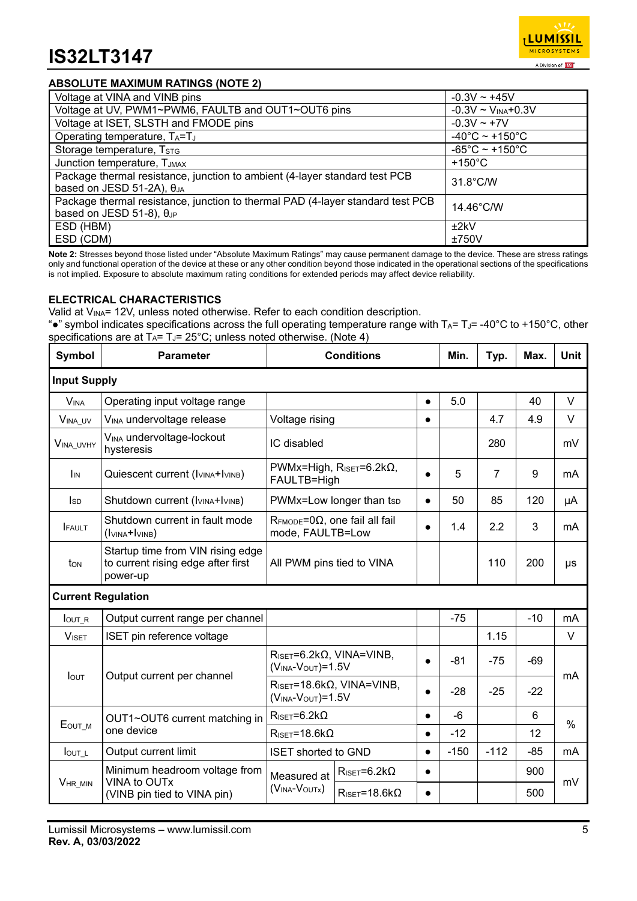

## **ABSOLUTE MAXIMUM RATINGS (NOTE 2)**

| Voltage at VINA and VINB pins                                                                                        | $-0.3V \sim +45V$                   |
|----------------------------------------------------------------------------------------------------------------------|-------------------------------------|
| Voltage at UV, PWM1~PWM6, FAULTB and OUT1~OUT6 pins                                                                  | $-0.3V \sim V_{INA} + 0.3V$         |
| Voltage at ISET, SLSTH and FMODE pins                                                                                | $-0.3V - +7V$                       |
| Operating temperature, TA=TJ                                                                                         | $-40^{\circ}$ C ~ +150 $^{\circ}$ C |
| Storage temperature, TSTG                                                                                            | $-65^{\circ}$ C ~ +150 $^{\circ}$ C |
| Junction temperature, TJMAX                                                                                          | $+150^{\circ}$ C                    |
| Package thermal resistance, junction to ambient (4-layer standard test PCB<br>based on JESD 51-2A), $\theta_{JA}$    | $31.8^{\circ}$ C/W                  |
| Package thermal resistance, junction to thermal PAD (4-layer standard test PCB<br>based on JESD 51-8), $\theta_{JP}$ | $14.46^{\circ}$ C/W                 |
| ESD (HBM)                                                                                                            | ±2kV                                |
| ESD (CDM)                                                                                                            | ±750V                               |

**Note 2:** Stresses beyond those listed under "Absolute Maximum Ratings" may cause permanent damage to the device. These are stress ratings only and functional operation of the device at these or any other condition beyond those indicated in the operational sections of the specifications is not implied. Exposure to absolute maximum rating conditions for extended periods may affect device reliability.

#### **ELECTRICAL CHARACTERISTICS**

Valid at V<sub>INA</sub>= 12V, unless noted otherwise. Refer to each condition description.

"•" symbol indicates specifications across the full operating temperature range with  $T_A = T_J = -40^{\circ}C$  to +150°C, other specifications are at  $T_A = T_J = 25^{\circ}$ C; unless noted otherwise. (Note 4)

| <b>Symbol</b>       | <b>Parameter</b>                                                                    | <b>Conditions</b>                                                                     | Min.                                                               | Typ.      | Max.   | <b>Unit</b>    |       |               |
|---------------------|-------------------------------------------------------------------------------------|---------------------------------------------------------------------------------------|--------------------------------------------------------------------|-----------|--------|----------------|-------|---------------|
| <b>Input Supply</b> |                                                                                     |                                                                                       |                                                                    |           |        |                |       |               |
| <b>VINA</b>         | Operating input voltage range                                                       |                                                                                       |                                                                    | $\bullet$ | 5.0    |                | 40    | V             |
| VINA_UV             | V <sub>INA</sub> undervoltage release                                               | Voltage rising                                                                        |                                                                    | $\bullet$ |        | 4.7            | 4.9   | V             |
| VINA_UVHY           | VINA undervoltage-lockout<br>hysteresis                                             | IC disabled                                                                           |                                                                    |           |        | 280            |       | mV            |
| I <sub>IN</sub>     | Quiescent current (IVINA+IVINB)                                                     | FAULTB=High                                                                           | PWMx=High, $R_{ISET} = 6.2k\Omega$ ,                               | $\bullet$ | 5      | $\overline{7}$ | 9     | mA            |
| <b>I</b> sp         | Shutdown current (I <sub>VINA</sub> +I <sub>VINB</sub> )                            |                                                                                       | PWMx=Low longer than tsp                                           | $\bullet$ | 50     | 85             | 120   | μA            |
| <b>FAULT</b>        | Shutdown current in fault mode<br>$(lvINA+lvINB)$                                   | $R_{\text{FMODE}} = 0\Omega$ , one fail all fail<br>$\bullet$<br>mode, FAULTB=Low     |                                                                    |           | 1.4    | 2.2            | 3     | mA            |
| ton                 | Startup time from VIN rising edge<br>to current rising edge after first<br>power-up | All PWM pins tied to VINA                                                             |                                                                    |           |        | 110            | 200   | μs            |
|                     | <b>Current Regulation</b>                                                           |                                                                                       |                                                                    |           |        |                |       |               |
| $I_{\text{OUT\_R}}$ | Output current range per channel                                                    |                                                                                       |                                                                    |           | $-75$  |                | $-10$ | mA            |
| <b>VISET</b>        | ISET pin reference voltage                                                          |                                                                                       |                                                                    |           |        | 1.15           |       | V             |
|                     |                                                                                     |                                                                                       | $R_{\text{ISET}} = 6.2 k\Omega$ , VINA=VINB,<br>$(VINA-VOUT)=1.5V$ |           | $-81$  | $-75$          | $-69$ |               |
| <b>I</b> OUT        | Output current per channel                                                          | $R_{\text{ISET}} = 18.6 \text{k}\Omega$ , VINA=VINB,<br>$(V_{INA}$ - $V_{OUT})$ =1.5V |                                                                    | $\bullet$ | $-28$  | $-25$          | $-22$ | mA            |
|                     | OUT1~OUT6 current matching in                                                       | $R_{\text{ISET}} = 6.2 k\Omega$                                                       |                                                                    | $\bullet$ | $-6$   |                | 6     | $\frac{0}{0}$ |
| EOUT_M              | one device                                                                          | $R_{\text{ISET}} = 18.6 \text{k}\Omega$                                               |                                                                    | $\bullet$ | $-12$  |                | 12    |               |
| $I_{\text{OUT}\_L}$ | Output current limit                                                                | <b>ISET shorted to GND</b>                                                            |                                                                    | $\bullet$ | $-150$ | $-112$         | $-85$ | mA            |
|                     | Minimum headroom voltage from                                                       | Measured at                                                                           | $R_{\text{ISET}} = 6.2 k\Omega$<br>$\bullet$                       |           |        |                | 900   |               |
| VHR MIN             | VINA to OUTx<br>(VINB pin tied to VINA pin)                                         | (VINA-VOUTX)                                                                          | $R_{\text{ISET}} = 18.6 \text{k}\Omega$                            | $\bullet$ |        |                | 500   | mV            |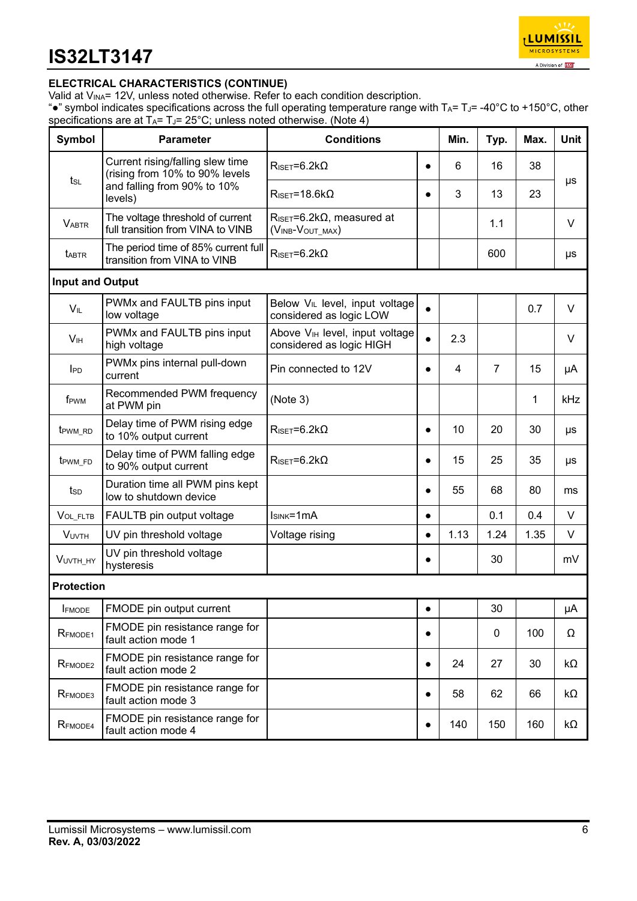

## **ELECTRICAL CHARACTERISTICS (CONTINUE)**

Valid at  $V_{INA}$ = 12V, unless noted otherwise. Refer to each condition description.

". "symbol indicates specifications across the full operating temperature range with TA= TJ= -40°C to +150°C, other specifications are at  $T_A = T_J = 25^{\circ}C$ ; unless noted otherwise. (Note 4)

| Symbol                  | <b>Parameter</b>                                                      | <b>Conditions</b>                                                       | Min.      | Typ.           | Max.           | <b>Unit</b> |           |
|-------------------------|-----------------------------------------------------------------------|-------------------------------------------------------------------------|-----------|----------------|----------------|-------------|-----------|
| tsL                     | Current rising/falling slew time<br>(rising from 10% to 90% levels    | $R_{\text{ISET}} = 6.2 k\Omega$                                         | $\bullet$ | 6              | 16             | 38          |           |
|                         | and falling from 90% to 10%<br>levels)                                | $R_{\text{ISET}} = 18.6 \text{k}\Omega$                                 | $\bullet$ | 3              | 13             | 23          | μs        |
| <b>VABTR</b>            | The voltage threshold of current<br>full transition from VINA to VINB | $R_{\text{ISET}} = 6.2 \text{k}\Omega$ , measured at<br>(VINB-VOUT_MAX) |           |                | 1.1            |             | V         |
| <b>t</b> ABTR           | The period time of 85% current full<br>transition from VINA to VINB   | $R_{\text{ISET}} = 6.2 k\Omega$                                         |           |                | 600            |             | μs        |
| <b>Input and Output</b> |                                                                       |                                                                         |           |                |                |             |           |
| $V_{IL}$                | PWMx and FAULTB pins input<br>low voltage                             | Below V <sub>IL</sub> level, input voltage<br>considered as logic LOW   |           |                |                | 0.7         | V         |
| V <sub>IH</sub>         | PWMx and FAULTB pins input<br>high voltage                            | Above V <sub>IH</sub> level, input voltage<br>considered as logic HIGH  |           | 2.3            |                |             | V         |
| <b>IPD</b>              | PWMx pins internal pull-down<br>current                               | Pin connected to 12V                                                    | $\bullet$ | $\overline{4}$ | $\overline{7}$ | 15          | μA        |
| f <sub>PWM</sub>        | Recommended PWM frequency<br>at PWM pin                               | (Note 3)                                                                |           |                |                | 1           | kHz       |
| t <sub>PWM_RD</sub>     | Delay time of PWM rising edge<br>to 10% output current                | $R_{\text{ISET}} = 6.2 k\Omega$                                         | $\bullet$ | 10             | 20             | 30          | μs        |
| t <sub>PWM_FD</sub>     | Delay time of PWM falling edge<br>to 90% output current               | $R_{\text{ISET}} = 6.2 k\Omega$                                         | $\bullet$ | 15             | 25             | 35          | μs        |
| tsp                     | Duration time all PWM pins kept<br>low to shutdown device             |                                                                         | $\bullet$ | 55             | 68             | 80          | ms        |
| VOL_FLTB                | FAULTB pin output voltage                                             | $ISINK=1mA$                                                             | $\bullet$ |                | 0.1            | 0.4         | V         |
| <b>VUVTH</b>            | UV pin threshold voltage                                              | Voltage rising                                                          | $\bullet$ | 1.13           | 1.24           | 1.35        | V         |
| VUVTH_HY                | UV pin threshold voltage<br>hysteresis                                |                                                                         | $\bullet$ |                | 30             |             | mV        |
| <b>Protection</b>       |                                                                       |                                                                         |           |                |                |             |           |
| <b>IFMODE</b>           | FMODE pin output current                                              |                                                                         |           |                | 30             |             | μA        |
| RFMODE1                 | FMODE pin resistance range for<br>fault action mode 1                 |                                                                         | $\bullet$ |                | $\pmb{0}$      | 100         | Ω         |
| RFMODE2                 | FMODE pin resistance range for<br>fault action mode 2                 |                                                                         | $\bullet$ | 24             | 27             | 30          | $k\Omega$ |
| RFMODE3                 | FMODE pin resistance range for<br>fault action mode 3                 |                                                                         | $\bullet$ | 58             | 62             | 66          | kΩ        |
| RFMODE4                 | FMODE pin resistance range for<br>fault action mode 4                 |                                                                         | $\bullet$ | 140            | 150            | 160         | kΩ        |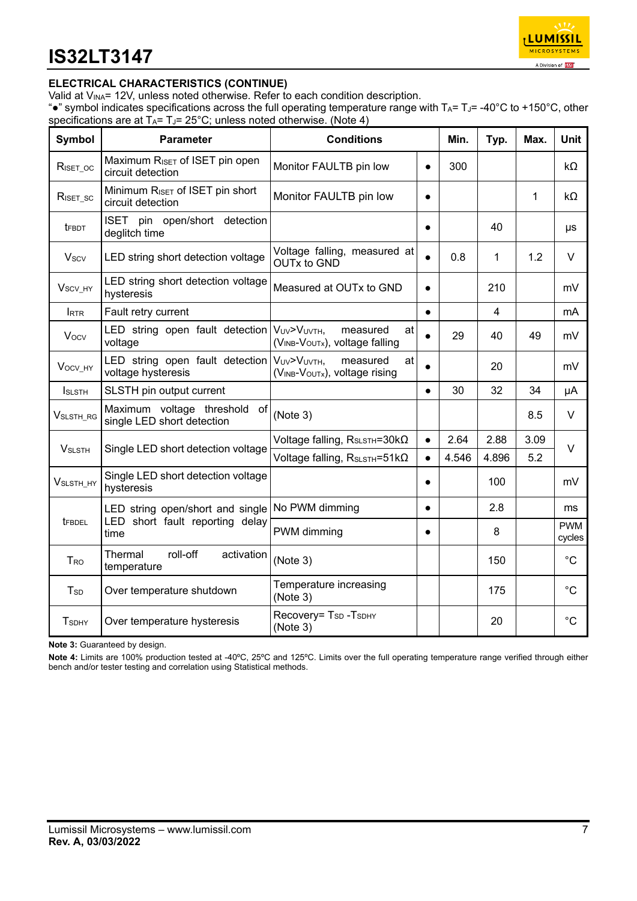

## **ELECTRICAL CHARACTERISTICS (CONTINUE)**

Valid at V<sub>INA</sub>= 12V, unless noted otherwise. Refer to each condition description.

"•" symbol indicates specifications across the full operating temperature range with  $T_A=T_J=$  -40°C to +150°C, other specifications are at  $T_A = T_J = 25^\circ \text{C}$ ; unless noted otherwise. (Note 4)

| <b>Symbol</b>                        | <b>Parameter</b>                                                            | <b>Conditions</b>                                        | Min.      | Typ.  | Max.  | <b>Unit</b>  |                      |
|--------------------------------------|-----------------------------------------------------------------------------|----------------------------------------------------------|-----------|-------|-------|--------------|----------------------|
| $R_{\text{ISET\_OC}}$                | Maximum RISET of ISET pin open<br>circuit detection                         | Monitor FAULTB pin low                                   | $\bullet$ | 300   |       |              | kΩ                   |
| $R_{\text{ISET}_\text{SC}}$          | Minimum RISET of ISET pin short<br>circuit detection                        | Monitor FAULTB pin low                                   | $\bullet$ |       |       | $\mathbf{1}$ | kΩ                   |
| <b>t</b> FBDT                        | ISET pin open/short detection<br>deglitch time                              |                                                          | $\bullet$ |       | 40    |              | μs                   |
| <b>Vscv</b>                          | LED string short detection voltage                                          | Voltage falling, measured at<br><b>OUTx to GND</b>       | $\bullet$ | 0.8   | 1     | 1.2          | $\vee$               |
| V <sub>SCV_HY</sub>                  | LED string short detection voltage<br>hysteresis                            | Measured at OUTx to GND                                  | $\bullet$ |       | 210   |              | mV                   |
| <b>RTR</b>                           | Fault retry current                                                         |                                                          | $\bullet$ |       | 4     |              | mA                   |
| <b>Vocv</b>                          | LED string open fault detection $V_{UV} > V_{UV}$ <sub>H</sub> ,<br>voltage | measured<br>at<br>(VINB-VOUTx), voltage falling          | $\bullet$ | 29    | 40    | 49           | mV                   |
| Vocv_HY                              | LED string open fault detection   VUV>VUVTH,<br>voltage hysteresis          | measured<br>at<br>(VINB-VOUTx), voltage rising           | $\bullet$ |       | 20    |              | mV                   |
| <b>I</b> SLSTH                       | SLSTH pin output current                                                    |                                                          | $\bullet$ | 30    | 32    | 34           | μA                   |
| $V_{\scriptstyle\textrm{SLSTH\_RG}}$ | Maximum voltage threshold of<br>single LED short detection                  | (Note 3)                                                 |           |       |       | 8.5          | $\vee$               |
| <b>VSLSTH</b>                        | Single LED short detection voltage                                          | Voltage falling, R <sub>SLSTH</sub> =30kΩ                | $\bullet$ | 2.64  | 2.88  | 3.09         | $\vee$               |
|                                      |                                                                             | Voltage falling, $R_{S\text{LSTH}} = 51 \text{k}\Omega$  | $\bullet$ | 4.546 | 4.896 | 5.2          |                      |
| V <sub>SLSTH_HY</sub>                | Single LED short detection voltage<br>hysteresis                            |                                                          | $\bullet$ |       | 100   |              | mV                   |
|                                      | LED string open/short and single                                            | No PWM dimming                                           | $\bullet$ |       | 2.8   |              | ms                   |
| <b>TFBDEL</b>                        | LED short fault reporting delay<br>time                                     | PWM dimming                                              | $\bullet$ |       | 8     |              | <b>PWM</b><br>cycles |
| <b>T</b> <sub>RO</sub>               | roll-off<br>Thermal<br>activation<br>temperature                            | (Note 3)                                                 |           |       | 150   |              | $^{\circ}C$          |
| <b>T</b> <sub>sp</sub>               | Over temperature shutdown                                                   | Temperature increasing<br>(Note 3)                       |           |       | 175   |              | $^{\circ}C$          |
| <b>T</b> sDHY                        | Over temperature hysteresis                                                 | Recovery= T <sub>SD</sub> -T <sub>SDHY</sub><br>(Note 3) |           |       | 20    |              | $^{\circ}C$          |

**Note 3:** Guaranteed by design.

**Note 4:** Limits are 100% production tested at -40ºC, 25ºC and 125ºC. Limits over the full operating temperature range verified through either bench and/or tester testing and correlation using Statistical methods.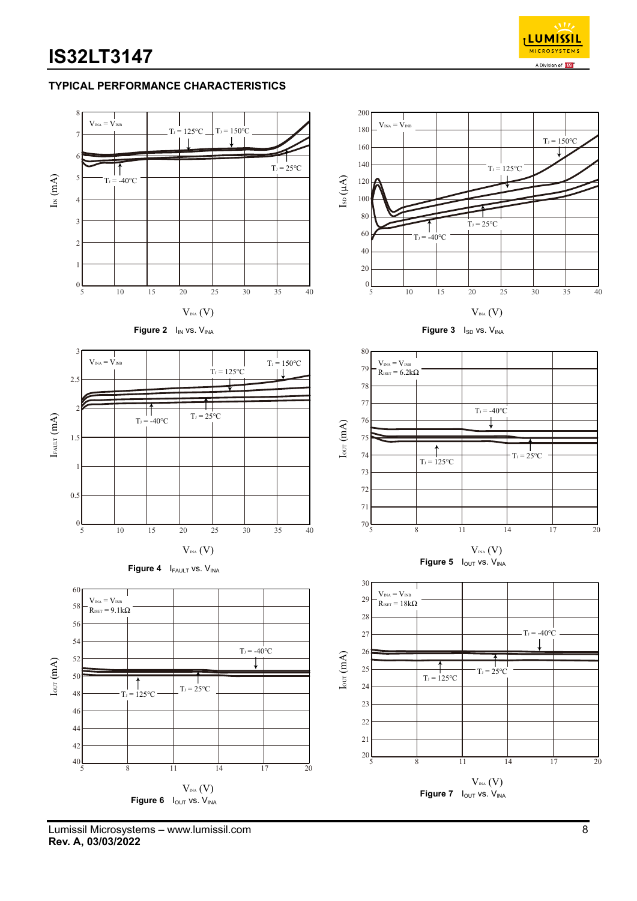

### **TYPICAL PERFORMANCE CHARACTERISTICS**



Lumissil Microsystems – www.lumissil.com 8 **Rev. A, 03/03/2022**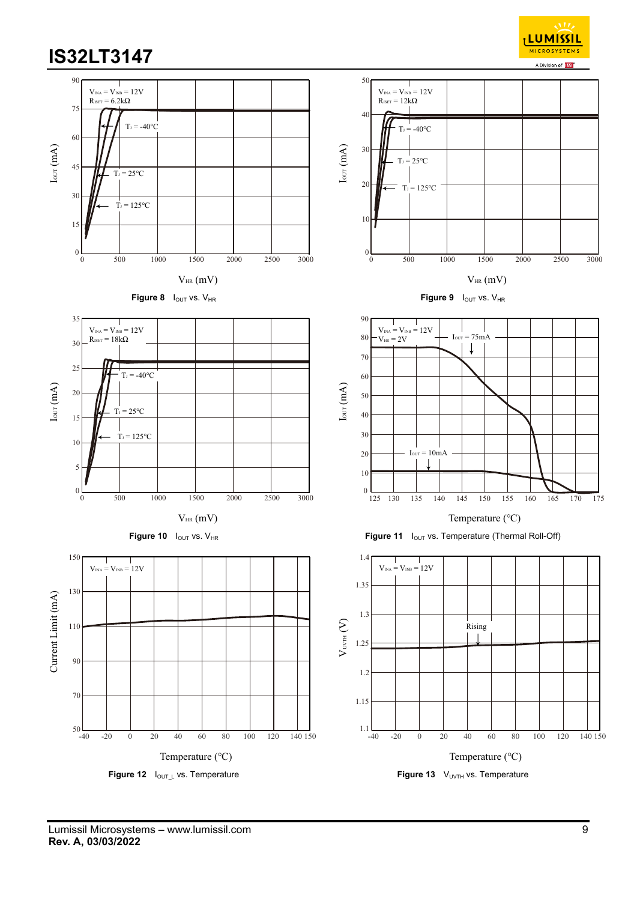

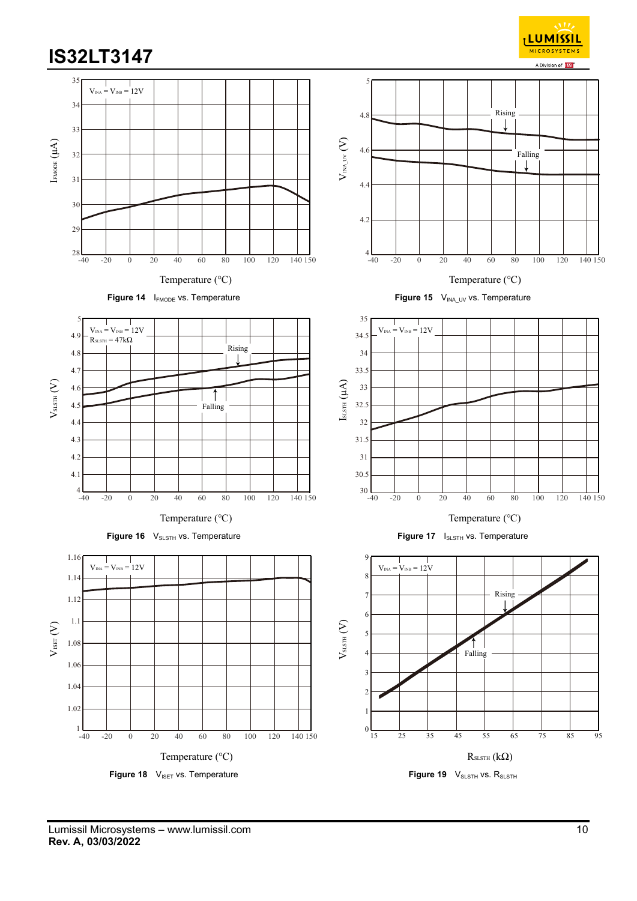

**LUMISSIL** MICROSYS<sup>-</sup>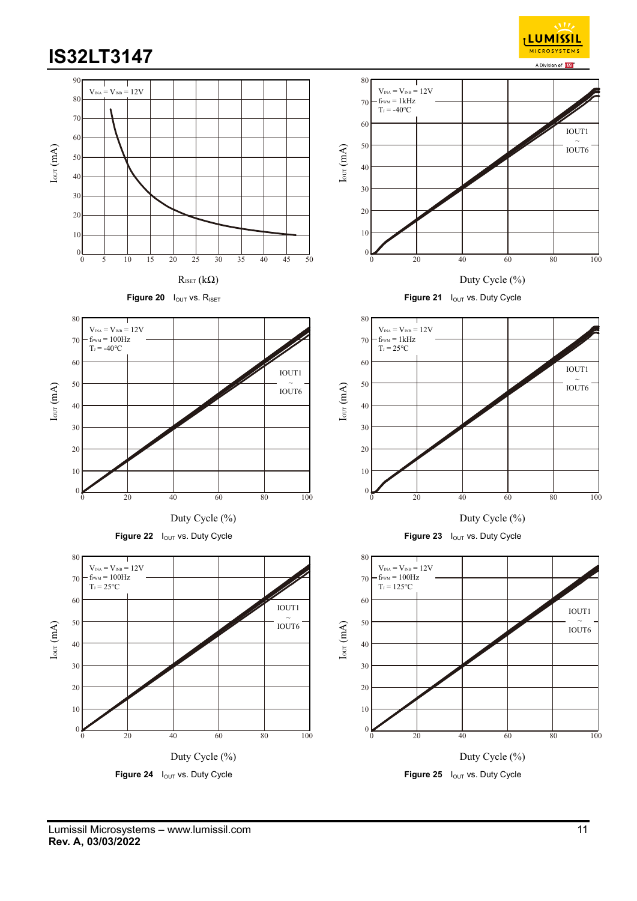

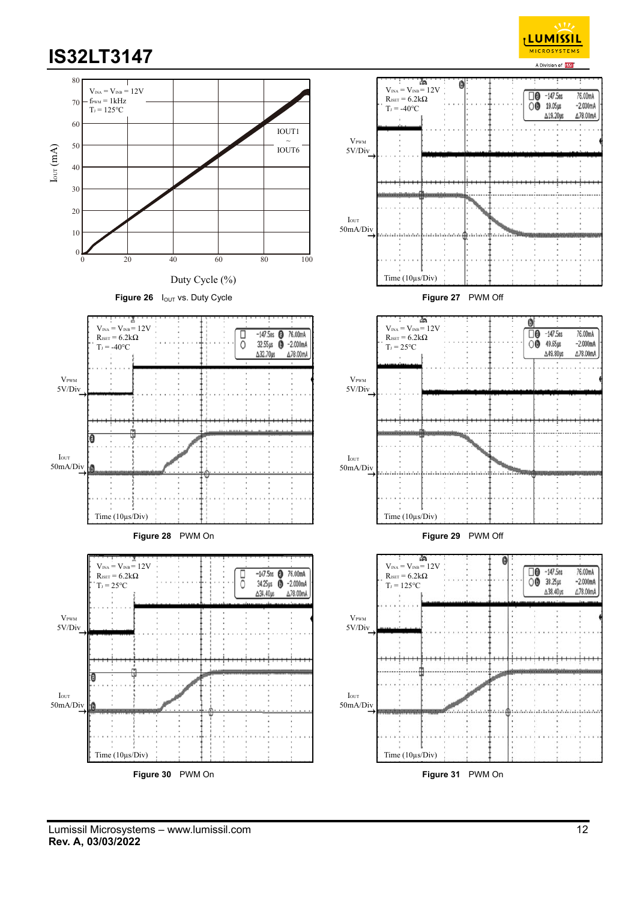



Lumissil Microsystems – www.lumissil.com 12 **Rev. A, 03/03/2022**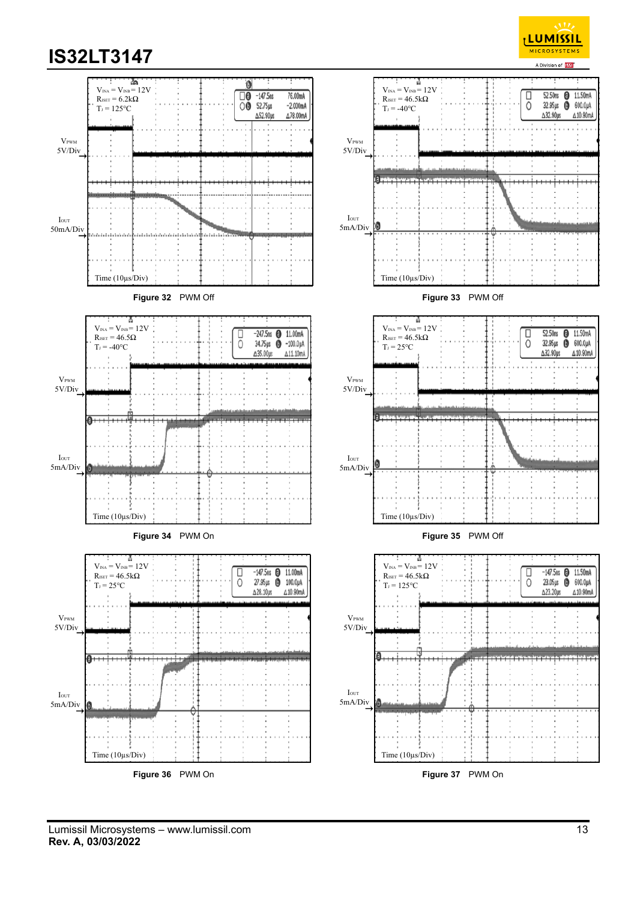





Lumissil Microsystems – www.lumissil.com 13 **Rev. A, 03/03/2022**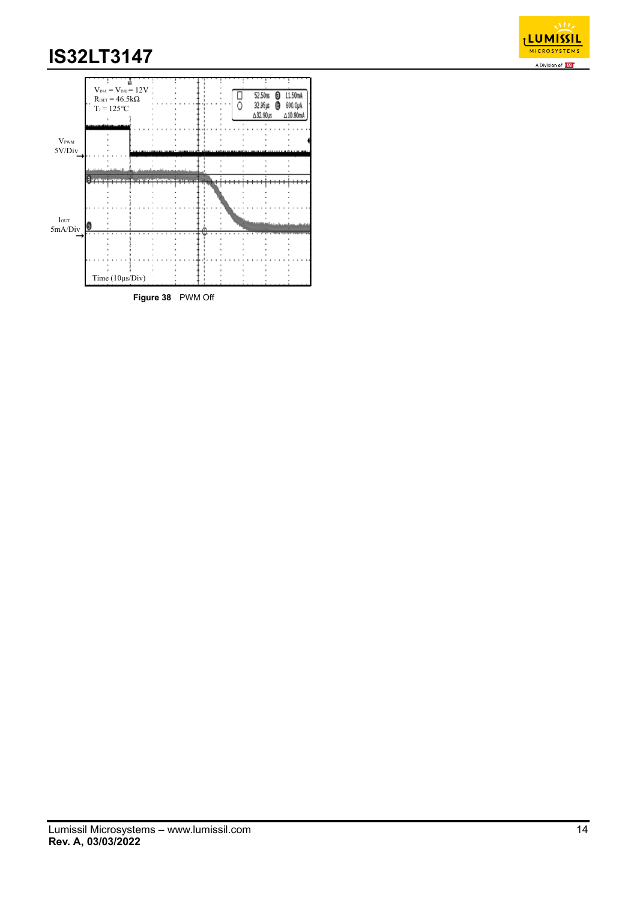

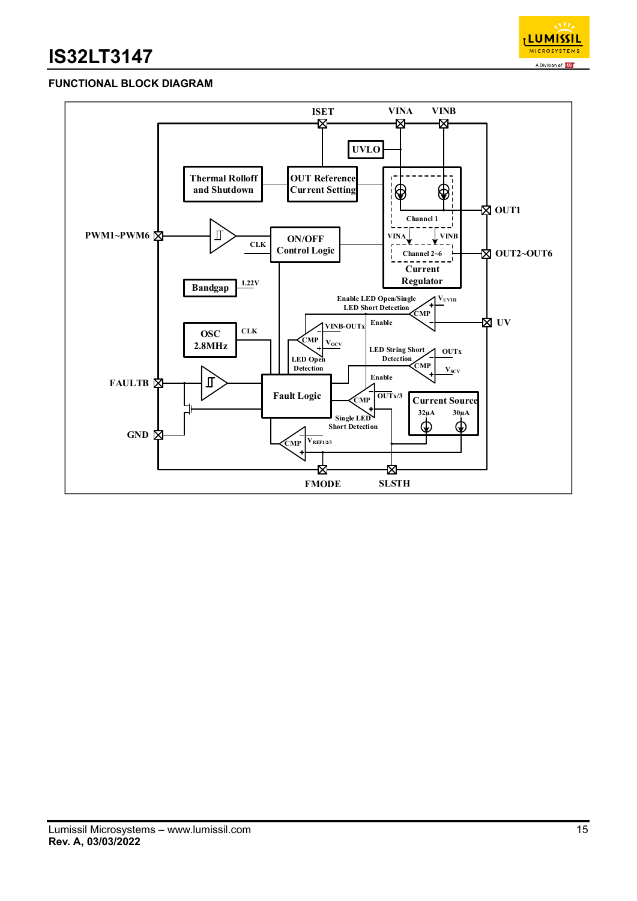

## **FUNCTIONAL BLOCK DIAGRAM**

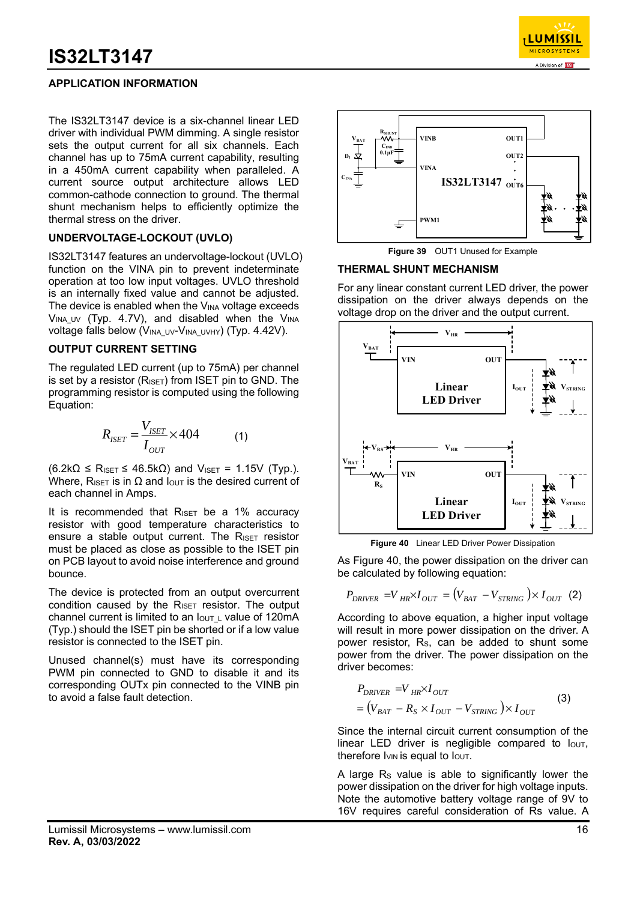

## **APPLICATION INFORMATION**

The IS32LT3147 device is a six-channel linear LED driver with individual PWM dimming. A single resistor sets the output current for all six channels. Each channel has up to 75mA current capability, resulting in a 450mA current capability when paralleled. A current source output architecture allows LED common-cathode connection to ground. The thermal shunt mechanism helps to efficiently optimize the thermal stress on the driver.

### **UNDERVOLTAGE-LOCKOUT (UVLO)**

IS32LT3147 features an undervoltage-lockout (UVLO) function on the VINA pin to prevent indeterminate operation at too low input voltages. UVLO threshold is an internally fixed value and cannot be adjusted. The device is enabled when the  $V_{\text{INA}}$  voltage exceeds  $V_{INA\ UV}$  (Typ. 4.7V), and disabled when the  $V_{INA}$ voltage falls below (V<sub>INA UV</sub>-V<sub>INA UVHY</sub>) (Typ. 4.42V).

#### **OUTPUT CURRENT SETTING**

The regulated LED current (up to 75mA) per channel is set by a resistor ( $R_{ISET}$ ) from ISET pin to GND. The programming resistor is computed using the following Equation:

$$
R_{ISET} = \frac{V_{ISET}}{I_{OUT}} \times 404
$$
 (1)

 $(6.2k\Omega \leq R_{ISET} \leq 46.5k\Omega)$  and V<sub>ISET</sub> = 1.15V (Typ.). Where, R<sub>ISET</sub> is in  $\Omega$  and  $I_{\text{OUT}}$  is the desired current of each channel in Amps.

It is recommended that  $R_{\text{ISET}}$  be a 1% accuracy resistor with good temperature characteristics to ensure a stable output current. The R<sub>ISET</sub> resistor must be placed as close as possible to the ISET pin on PCB layout to avoid noise interference and ground bounce.

The device is protected from an output overcurrent condition caused by the  $R_{\text{ISET}}$  resistor. The output channel current is limited to an  $I_{\text{OUT L}}$  value of 120mA (Typ.) should the ISET pin be shorted or if a low value resistor is connected to the ISET pin.

Unused channel(s) must have its corresponding PWM pin connected to GND to disable it and its corresponding OUTx pin connected to the VINB pin to avoid a false fault detection.



**Figure 39** OUT1 Unused for Example

#### **THERMAL SHUNT MECHANISM**

For any linear constant current LED driver, the power dissipation on the driver always depends on the voltage drop on the driver and the output current.



**Figure 40** Linear LED Driver Power Dissipation

As Figure 40, the power dissipation on the driver can be calculated by following equation:

$$
P_{DRIVER} = V_{HR} \times I_{OUT} = (V_{BAT} - V_{STRING}) \times I_{OUT}
$$
 (2)

According to above equation, a higher input voltage will result in more power dissipation on the driver. A power resistor, RS, can be added to shunt some power from the driver. The power dissipation on the driver becomes:

$$
P_{DRIVER} = V_{HR} \times I_{OUT}
$$
  
=  $(V_{BAT} - R_S \times I_{OUT} - V_{STRING}) \times I_{OUT}$  (3)

Since the internal circuit current consumption of the linear LED driver is negligible compared to  $I<sub>OUT</sub>$ , therefore  $I_{VIN}$  is equal to  $I_{OUT}$ .

A large  $R<sub>s</sub>$  value is able to significantly lower the power dissipation on the driver for high voltage inputs. Note the automotive battery voltage range of 9V to 16V requires careful consideration of Rs value. A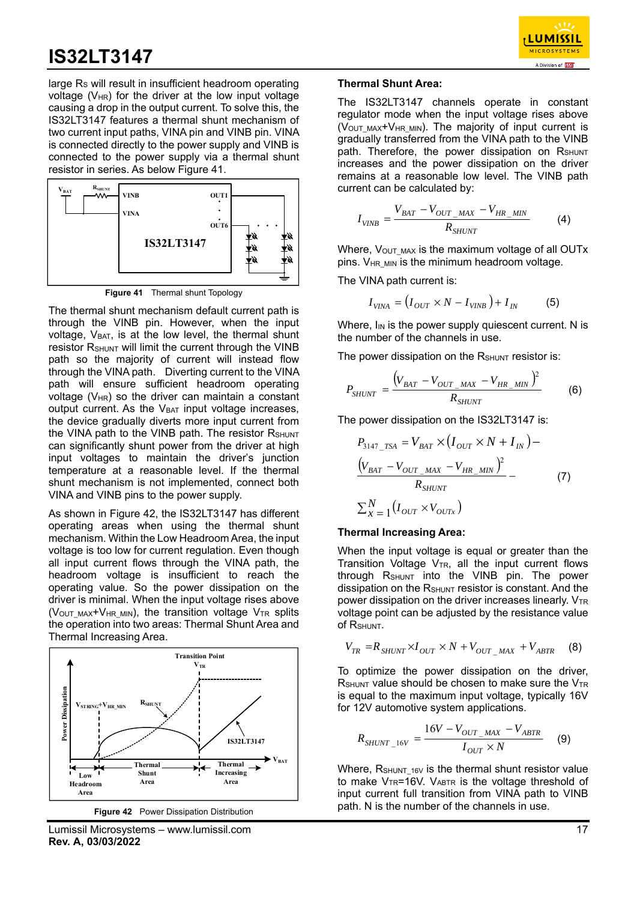

large R<sub>s</sub> will result in insufficient headroom operating voltage  $(V_{HR})$  for the driver at the low input voltage causing a drop in the output current. To solve this, the IS32LT3147 features a thermal shunt mechanism of two current input paths, VINA pin and VINB pin. VINA is connected directly to the power supply and VINB is connected to the power supply via a thermal shunt resistor in series. As below Figure 41.



**Figure 41** Thermal shunt Topology

The thermal shunt mechanism default current path is through the VINB pin. However, when the input voltage,  $V_{BAT}$ , is at the low level, the thermal shunt resistor RSHUNT will limit the current through the VINB path so the majority of current will instead flow through the VINA path. Diverting current to the VINA path will ensure sufficient headroom operating voltage ( $V_{HR}$ ) so the driver can maintain a constant output current. As the  $V_{BAT}$  input voltage increases, the device gradually diverts more input current from the VINA path to the VINB path. The resistor RSHUNT can significantly shunt power from the driver at high input voltages to maintain the driver's junction temperature at a reasonable level. If the thermal shunt mechanism is not implemented, connect both VINA and VINB pins to the power supply.

As shown in Figure 42, the IS32LT3147 has different operating areas when using the thermal shunt mechanism. Within the Low Headroom Area, the input voltage is too low for current regulation. Even though all input current flows through the VINA path, the headroom voltage is insufficient to reach the operating value. So the power dissipation on the driver is minimal. When the input voltage rises above (V<sub>OUT MAX</sub>+V<sub>HR MIN</sub>), the transition voltage V<sub>TR</sub> splits the operation into two areas: Thermal Shunt Area and Thermal Increasing Area.



Lumissil Microsystems – www.lumissil.com 17 **Rev. A, 03/03/2022**

#### **Thermal Shunt Area:**

The IS32LT3147 channels operate in constant regulator mode when the input voltage rises above (VOUT\_MAX+VHR\_MIN). The majority of input current is gradually transferred from the VINA path to the VINB path. Therefore, the power dissipation on RSHUNT increases and the power dissipation on the driver remains at a reasonable low level. The VINB path current can be calculated by:

$$
I_{VINB} = \frac{V_{BAT} - V_{OUT\_MAX} - V_{HR\_MIN}}{R_{SHUNT}}
$$
(4)

Where,  $V_{\text{OUT MAX}}$  is the maximum voltage of all OUTx pins. V<sub>HR MIN</sub> is the minimum headroom voltage.

The VINA path current is:

$$
I_{VINA} = (I_{OUT} \times N - I_{VINB}) + I_{IN}
$$
 (5)

Where,  $I_{IN}$  is the power supply quiescent current. N is the number of the channels in use.

The power dissipation on the  $R_{\text{SHUNT}}$  resistor is:

$$
P_{SHUNT} = \frac{(V_{BAT} - V_{OUT\_MAX} - V_{HR\_MIN})^2}{R_{SHUNT}} \tag{6}
$$

The power dissipation on the IS32LT3147 is:

$$
P_{3147\_TSA} = V_{BAT} \times (I_{OUT} \times N + I_{IN}) -
$$
  
\n
$$
\frac{(V_{BAT} - V_{OUT\_MAX} - V_{HR\_MIN})^{2}}{R_{SHUNT}} -
$$
  
\n
$$
\sum_{x=1}^{N} (I_{OUT} \times V_{OUTx})
$$
 (7)

#### **Thermal Increasing Area:**

When the input voltage is equal or greater than the Transition Voltage  $V_{TR}$ , all the input current flows through RSHUNT into the VINB pin. The power dissipation on the R<sub>SHUNT</sub> resistor is constant. And the power dissipation on the driver increases linearly.  $V_{TR}$ voltage point can be adjusted by the resistance value of RSHUNT.

$$
V_{TR} = R_{SHUNT} \times I_{OUT} \times N + V_{OUT\_MAX} + V_{ABTR}
$$
 (8)

To optimize the power dissipation on the driver,  $R_{\text{SHUNT}}$  value should be chosen to make sure the  $V_{TR}$ is equal to the maximum input voltage, typically 16V for 12V automotive system applications.

$$
R_{SHUNT\_16V} = \frac{16V - V_{OUT\_MAX} - V_{ABTR}}{I_{OUT} \times N}
$$
 (9)

Where,  $R_{\text{SHUNT-16V}}$  is the thermal shunt resistor value to make  $V_{TR} = 16V$ .  $V_{ABTR}$  is the voltage threshold of input current full transition from VINA path to VINB path. N is the number of the channels in use.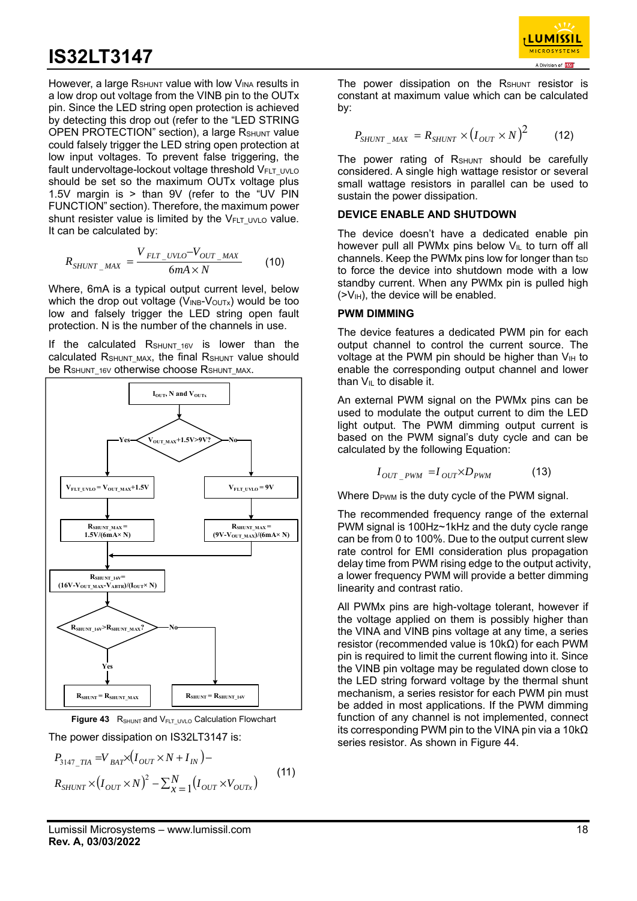

$$
R_{SHUNT\_MAX} = \frac{V_{ELT\_UVLO} - V_{OUT\_MAX}}{6mA \times N}
$$
 (10)

Where, 6mA is a typical output current level, below which the drop out voltage ( $V_{INB}-V_{OUTX}$ ) would be too low and falsely trigger the LED string open fault protection. N is the number of the channels in use.

If the calculated  $R_{\text{SHUNT 16V}}$  is lower than the calculated RSHUNT MAX, the final RSHUNT value should be R<sub>SHUNT</sub> 16V otherwise choose R<sub>SHUNT</sub> MAX.





$$
P_{3147\_TIA} = V_{BAT} \times (I_{OUT} \times N + I_{IN}) -
$$
  
\n
$$
R_{SHUNT} \times (I_{OUT} \times N)^2 - \sum_{x=1}^{N} (I_{OUT} \times V_{OUTx})
$$
\n(11)

**LUMISSIL MICROSYSTEM** 

The power dissipation on the  $R_{\text{SHUNT}}$  resistor is constant at maximum value which can be calculated by:

$$
P_{SHUNT\_MAX} = R_{SHUNT} \times (I_{OUT} \times N)^2 \tag{12}
$$

The power rating of  $R_{\text{SHUNT}}$  should be carefully considered. A single high wattage resistor or several small wattage resistors in parallel can be used to sustain the power dissipation.

#### **DEVICE ENABLE AND SHUTDOWN**

The device doesn't have a dedicated enable pin however pull all PWMx pins below  $V_{IL}$  to turn off all channels. Keep the PWMx pins low for longer than  $t_{SD}$ to force the device into shutdown mode with a low standby current. When any PWMx pin is pulled high  $(>V<sub>IH</sub>)$ , the device will be enabled.

#### **PWM DIMMING**

The device features a dedicated PWM pin for each output channel to control the current source. The voltage at the PWM pin should be higher than  $V_{\text{H}}$  to enable the corresponding output channel and lower than  $V_{IL}$  to disable it.

An external PWM signal on the PWMx pins can be used to modulate the output current to dim the LED light output. The PWM dimming output current is based on the PWM signal's duty cycle and can be calculated by the following Equation:

$$
I_{OUT\ PWM} = I_{OUT} \times D_{PWM} \tag{13}
$$

Where D<sub>PWM</sub> is the duty cycle of the PWM signal.

The recommended frequency range of the external PWM signal is 100Hz~1kHz and the duty cycle range can be from 0 to 100%. Due to the output current slew rate control for EMI consideration plus propagation delay time from PWM rising edge to the output activity, a lower frequency PWM will provide a better dimming linearity and contrast ratio.

All PWMx pins are high-voltage tolerant, however if the voltage applied on them is possibly higher than the VINA and VINB pins voltage at any time, a series resistor (recommended value is 10kΩ) for each PWM pin is required to limit the current flowing into it. Since the VINB pin voltage may be regulated down close to the LED string forward voltage by the thermal shunt mechanism, a series resistor for each PWM pin must be added in most applications. If the PWM dimming function of any channel is not implemented, connect its corresponding PWM pin to the VINA pin via a 10kΩ series resistor. As shown in Figure 44.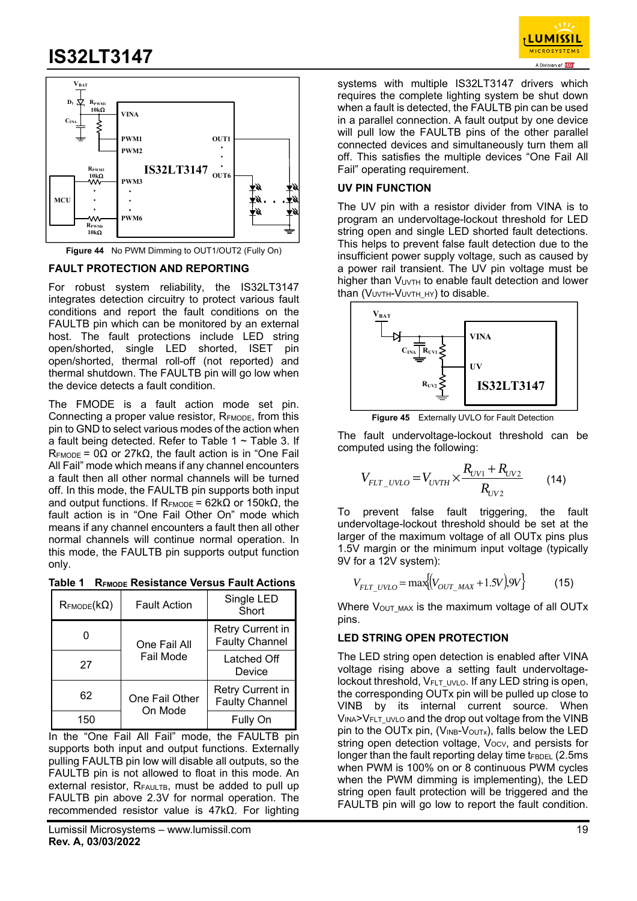



**Figure 44** No PWM Dimming to OUT1/OUT2 (Fully On)

### **FAULT PROTECTION AND REPORTING**

For robust system reliability, the IS32LT3147 integrates detection circuitry to protect various fault conditions and report the fault conditions on the FAULTB pin which can be monitored by an external host. The fault protections include LED string open/shorted, single LED shorted, ISET pin open/shorted, thermal roll-off (not reported) and thermal shutdown. The FAULTB pin will go low when the device detects a fault condition.

The FMODE is a fault action mode set pin. Connecting a proper value resistor, R<sub>EMODE</sub>, from this pin to GND to select various modes of the action when a fault being detected. Refer to Table  $1 \sim$  Table 3. If  $R_{\text{FMODE}}$  = 0Ω or 27kΩ, the fault action is in "One Fail All Fail" mode which means if any channel encounters a fault then all other normal channels will be turned off. In this mode, the FAULTB pin supports both input and output functions. If R<sub>FMODE</sub> = 62kΩ or 150kΩ, the fault action is in "One Fail Other On" mode which means if any channel encounters a fault then all other normal channels will continue normal operation. In this mode, the FAULTB pin supports output function only.

**Table 1 RFMODE Resistance Versus Fault Actions** 

| $\mathsf{R}_{\mathsf{FMODE}}(k\Omega)$ | <b>Fault Action</b>       | Single LED<br>Short                       |
|----------------------------------------|---------------------------|-------------------------------------------|
|                                        | One Fail All              | Retry Current in<br><b>Faulty Channel</b> |
| 27                                     | Fail Mode                 | Latched Off<br>Device                     |
| 62                                     | One Fail Other<br>On Mode | Retry Current in<br><b>Faulty Channel</b> |
| 150                                    |                           | Fully On                                  |

In the "One Fail All Fail" mode, the FAULTB pin supports both input and output functions. Externally pulling FAULTB pin low will disable all outputs, so the FAULTB pin is not allowed to float in this mode. An external resistor, RFAULTB, must be added to pull up FAULTB pin above 2.3V for normal operation. The recommended resistor value is 47kΩ. For lighting

systems with multiple IS32LT3147 drivers which requires the complete lighting system be shut down when a fault is detected, the FAULTB pin can be used in a parallel connection. A fault output by one device will pull low the FAULTB pins of the other parallel connected devices and simultaneously turn them all off. This satisfies the multiple devices "One Fail All Fail" operating requirement.

### **UV PIN FUNCTION**

The UV pin with a resistor divider from VINA is to program an undervoltage-lockout threshold for LED string open and single LED shorted fault detections. This helps to prevent false fault detection due to the insufficient power supply voltage, such as caused by a power rail transient. The UV pin voltage must be higher than V<sub>UVTH</sub> to enable fault detection and lower than (VUVTH-VUVTH\_HY) to disable.



**Figure 45** Externally UVLO for Fault Detection

The fault undervoltage-lockout threshold can be computed using the following:

$$
V_{FLT\_UVLO} = V_{UVTH} \times \frac{R_{UV1} + R_{UV2}}{R_{UV2}} \tag{14}
$$

To prevent false fault triggering, the fault undervoltage-lockout threshold should be set at the larger of the maximum voltage of all OUTx pins plus 1.5V margin or the minimum input voltage (typically 9V for a 12V system):

$$
V_{FLT\_UVLO} = \max\{ (V_{OUT\_MAX} + 1.5V) .9V \}
$$
 (15)

Where V<sub>OUT\_MAX</sub> is the maximum voltage of all OUTx pins.

### **LED STRING OPEN PROTECTION**

The LED string open detection is enabled after VINA voltage rising above a setting fault undervoltagelockout threshold, V<sub>FLT</sub> UVLO. If any LED string is open, the corresponding OUTx pin will be pulled up close to VINB by its internal current source. When VINA>VFLT UVLO and the drop out voltage from the VINB pin to the OUTx pin, (VINB-VOUTx), falls below the LED string open detection voltage,  $V_{\text{OCV}}$ , and persists for longer than the fault reporting delay time  $t_{FBDEL}$  (2.5ms) when PWM is 100% on or 8 continuous PWM cycles when the PWM dimming is implementing), the LED string open fault protection will be triggered and the FAULTB pin will go low to report the fault condition.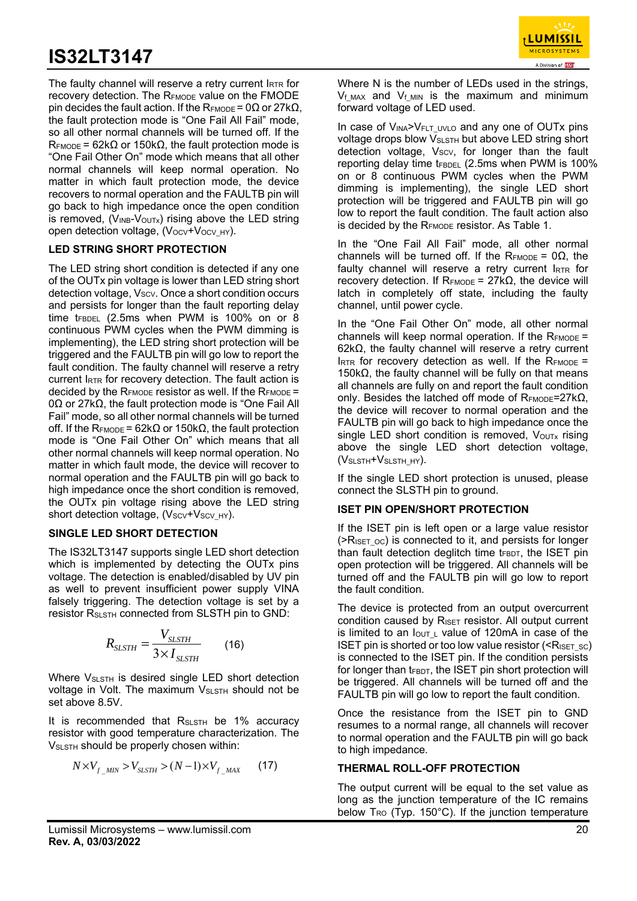

The faulty channel will reserve a retry current IRTR for recovery detection. The R<sub>EMODE</sub> value on the FMODE pin decides the fault action. If the R<sub>FMODE</sub> = 0Ω or 27kΩ, the fault protection mode is "One Fail All Fail" mode, so all other normal channels will be turned off. If the  $R_{\text{FMODE}}$  = 62k $\Omega$  or 150k $\Omega$ , the fault protection mode is "One Fail Other On" mode which means that all other normal channels will keep normal operation. No matter in which fault protection mode, the device recovers to normal operation and the FAULTB pin will go back to high impedance once the open condition is removed,  $(V_{INB}-V_{OUTX})$  rising above the LED string open detection voltage,  $(V_{OCV}+V_{OCV}HY)$ .

### **LED STRING SHORT PROTECTION**

The LED string short condition is detected if any one of the OUTx pin voltage is lower than LED string short detection voltage, Vscv. Once a short condition occurs and persists for longer than the fault reporting delay time  $t_{FBDEL}$  (2.5ms when PWM is 100% on or 8 continuous PWM cycles when the PWM dimming is implementing), the LED string short protection will be triggered and the FAULTB pin will go low to report the fault condition. The faulty channel will reserve a retry current IRTR for recovery detection. The fault action is decided by the  $R_{FMDDE}$  resistor as well. If the  $R_{FMDDE}$  = 0Ω or 27kΩ, the fault protection mode is "One Fail All Fail" mode, so all other normal channels will be turned off. If the R<sub>FMODE</sub> = 62kΩ or 150kΩ, the fault protection mode is "One Fail Other On" which means that all other normal channels will keep normal operation. No matter in which fault mode, the device will recover to normal operation and the FAULTB pin will go back to high impedance once the short condition is removed. the OUTx pin voltage rising above the LED string short detection voltage, (Vscv+Vscv HY).

### **SINGLE LED SHORT DETECTION**

The IS32LT3147 supports single LED short detection which is implemented by detecting the OUT<sub>x</sub> pins voltage. The detection is enabled/disabled by UV pin as well to prevent insufficient power supply VINA falsely triggering. The detection voltage is set by a resistor RSLSTH connected from SLSTH pin to GND:

$$
R_{SLSTH} = \frac{V_{SLSTH}}{3 \times I_{SLSTH}}
$$
 (16)

Where V<sub>SLSTH</sub> is desired single LED short detection voltage in Volt. The maximum V<sub>SLSTH</sub> should not be set above 8.5V.

It is recommended that  $R_{S\text{LSTH}}$  be 1% accuracy resistor with good temperature characterization. The VSLSTH should be properly chosen within:

$$
N \times V_{f_{MIN}} > V_{SLSTH} > (N-1) \times V_{f_{MAX}} \qquad (17)
$$

Where N is the number of LEDs used in the strings,  $V_f$ <sub>MAX</sub> and  $V_f$ <sub>MIN</sub> is the maximum and minimum forward voltage of LED used.

In case of  $V_{INA} > V_{FLT}$  uvlo and any one of OUTx pins voltage drops blow V<sub>SLSTH</sub> but above LED string short detection voltage, Vscv, for longer than the fault reporting delay time  $t_{FBDEL}$  (2.5ms when PWM is 100% on or 8 continuous PWM cycles when the PWM dimming is implementing), the single LED short protection will be triggered and FAULTB pin will go low to report the fault condition. The fault action also is decided by the R<sub>FMODE</sub> resistor. As Table 1.

In the "One Fail All Fail" mode, all other normal channels will be turned off. If the RFMODE =  $0\Omega$ , the faulty channel will reserve a retry current IRTR for recovery detection. If  $R_{FMODE} = 27kΩ$ , the device will latch in completely off state, including the faulty channel, until power cycle.

In the "One Fail Other On" mode, all other normal channels will keep normal operation. If the  $R_{FMDDE}$  = 62kΩ, the faulty channel will reserve a retry current  $I_{RTR}$  for recovery detection as well. If the  $R_{FMDDE}$  = 150kΩ, the faulty channel will be fully on that means all channels are fully on and report the fault condition only. Besides the latched off mode of  $R_{FMDDE} = 27kΩ$ , the device will recover to normal operation and the FAULTB pin will go back to high impedance once the single LED short condition is removed,  $V_{\text{OUTX}}$  rising above the single LED short detection voltage, (VSLSTH+VSLSTH\_HY).

If the single LED short protection is unused, please connect the SLSTH pin to ground.

### **ISET PIN OPEN/SHORT PROTECTION**

If the ISET pin is left open or a large value resistor  $($ >R<sub>ISET</sub> <sub>oc</sub>) is connected to it, and persists for longer than fault detection deglitch time  $t_{FBDT}$ , the ISET pin open protection will be triggered. All channels will be turned off and the FAULTB pin will go low to report the fault condition.

The device is protected from an output overcurrent condition caused by  $R_{\text{ISET}}$  resistor. All output current is limited to an  $I_{\text{OUT L}}$  value of 120mA in case of the ISET pin is shorted or too low value resistor ( $\leq R_{\text{ISET SC}}$ ) is connected to the ISET pin. If the condition persists for longer than  $t_{FBDT}$ , the ISET pin short protection will be triggered. All channels will be turned off and the FAULTB pin will go low to report the fault condition.

Once the resistance from the ISET pin to GND resumes to a normal range, all channels will recover to normal operation and the FAULTB pin will go back to high impedance.

### **THERMAL ROLL-OFF PROTECTION**

The output current will be equal to the set value as long as the junction temperature of the IC remains below  $T_{\text{RO}}$  (Typ. 150 $^{\circ}$ C). If the junction temperature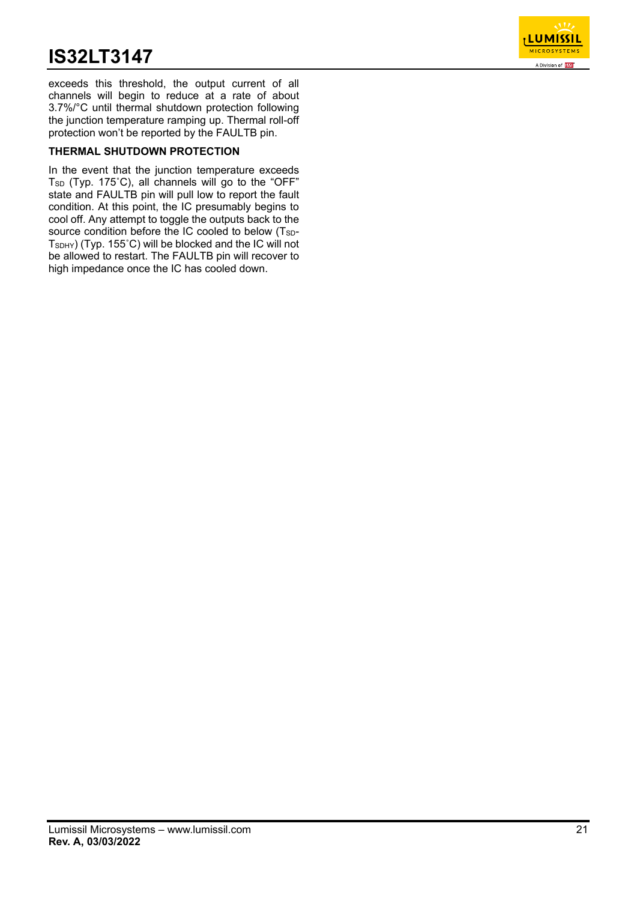

exceeds this threshold, the output current of all channels will begin to reduce at a rate of about 3.7%/°C until thermal shutdown protection following the junction temperature ramping up. Thermal roll-off protection won't be reported by the FAULTB pin.

## **THERMAL SHUTDOWN PROTECTION**

In the event that the junction temperature exceeds  $T_{SD}$  (Typ. 175°C), all channels will go to the "OFF" state and FAULTB pin will pull low to report the fault condition. At this point, the IC presumably begins to cool off. Any attempt to toggle the outputs back to the source condition before the IC cooled to below (T<sub>SD</sub>-TSDHY) (Typ. 155˚C) will be blocked and the IC will not be allowed to restart. The FAULTB pin will recover to high impedance once the IC has cooled down.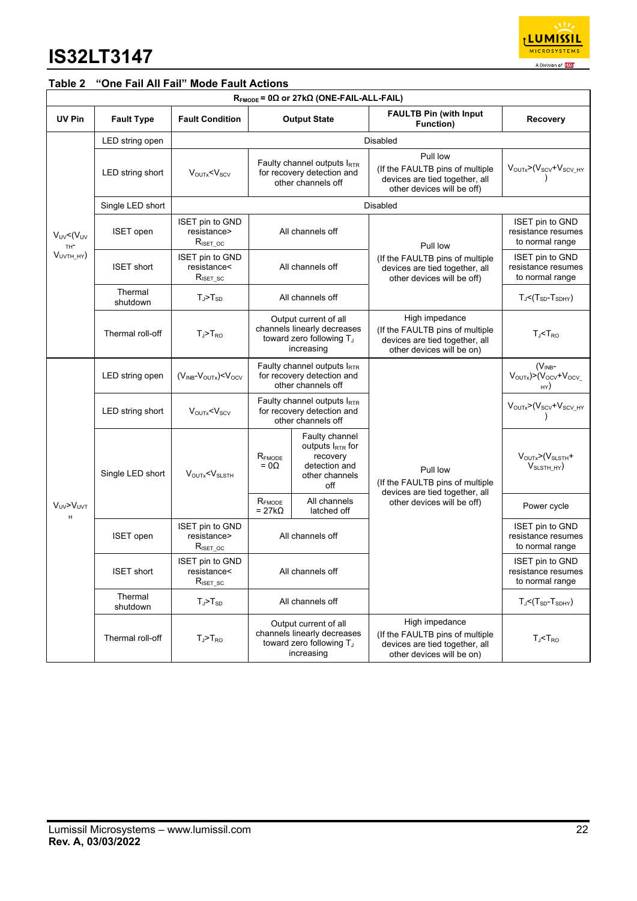

## **Table 2 "One Fail All Fail" Mode Fault Actions**

|                                                       | $R_{\text{FMODE}}$ = 0 $\Omega$ or 27k $\Omega$ (ONE-FAIL-ALL-FAIL) |                                                                      |                                                                                                            |                                                                                                      |                                                                                                                  |                                                                                |  |  |  |  |
|-------------------------------------------------------|---------------------------------------------------------------------|----------------------------------------------------------------------|------------------------------------------------------------------------------------------------------------|------------------------------------------------------------------------------------------------------|------------------------------------------------------------------------------------------------------------------|--------------------------------------------------------------------------------|--|--|--|--|
| UV Pin                                                | <b>Fault Type</b>                                                   | <b>Fault Condition</b>                                               |                                                                                                            | <b>Output State</b>                                                                                  | <b>FAULTB Pin (with Input</b><br>Function)                                                                       | Recovery                                                                       |  |  |  |  |
|                                                       | LED string open                                                     | Disabled                                                             |                                                                                                            |                                                                                                      |                                                                                                                  |                                                                                |  |  |  |  |
|                                                       | LED string short                                                    | $V_{\text{OUTX}} < V_{\text{SCV}}$                                   |                                                                                                            | Faulty channel outputs $I_{RTR}$<br>for recovery detection and<br>other channels off                 | Pull low<br>(If the FAULTB pins of multiple<br>devices are tied together, all<br>other devices will be off)      | $V_{\text{OUTX}} > (V_{\text{SCV}} + V_{\text{SCV\_HY}})$                      |  |  |  |  |
|                                                       | Single LED short                                                    |                                                                      |                                                                                                            |                                                                                                      | Disabled                                                                                                         |                                                                                |  |  |  |  |
| $V_{UV}$ < $(V_{UV}$<br>TH <sup>-</sup><br>$VUVTH_HY$ | <b>ISET</b> open                                                    | ISET pin to GND<br>resistance><br>$R_{\text{ISET\_OC}}$              |                                                                                                            | All channels off                                                                                     | Pull low                                                                                                         | <b>ISET pin to GND</b><br>resistance resumes<br>to normal range                |  |  |  |  |
|                                                       | <b>ISET short</b>                                                   | <b>ISET pin to GND</b><br>resistance<<br>$R_{\text{ISET}_\text{SC}}$ |                                                                                                            | All channels off                                                                                     | (If the FAULTB pins of multiple<br>devices are tied together, all<br>other devices will be off)                  | ISET pin to GND<br>resistance resumes<br>to normal range                       |  |  |  |  |
|                                                       | Thermal<br>shutdown                                                 | $T_J$ > $T_{SD}$                                                     |                                                                                                            | All channels off                                                                                     |                                                                                                                  | $T_J$ < $(T_{SD}$ - $T_{SDHY})$                                                |  |  |  |  |
|                                                       | Thermal roll-off                                                    | $T_J$ > $T_{RO}$                                                     | Output current of all<br>channels linearly decreases<br>toward zero following T <sub>J</sub><br>increasing |                                                                                                      | High impedance<br>(If the FAULTB pins of multiple<br>devices are tied together, all<br>other devices will be on) | $T_{J}$ < $T_{RO}$                                                             |  |  |  |  |
|                                                       | LED string open                                                     | $(V_{INB}-V_{OUTX})$ < $V_{OCV}$                                     | Faulty channel outputs IRTR<br>for recovery detection and<br>other channels off                            |                                                                                                      |                                                                                                                  | $(V_{INB}$ -<br>$V_{\text{OUTx}}$ $> (V_{\text{OCV}} + V_{\text{OCV}})$<br>HY) |  |  |  |  |
|                                                       | LED string short                                                    | $V_{\text{OUTx}} < V_{\text{SCV}}$                                   | Faulty channel outputs IRTR<br>for recovery detection and<br>other channels off                            |                                                                                                      |                                                                                                                  | VOUTx>(Vscv+Vscv_HY                                                            |  |  |  |  |
|                                                       | Single LED short                                                    | $V_{\text{OUTX}} < V_{\text{SLSTH}}$                                 | $\mathsf{R}_{\mathsf{FMODE}}$<br>$= 0\Omega$                                                               | Faulty channel<br>outputs l <sub>RTR</sub> for<br>recovery<br>detection and<br>other channels<br>off | Pull low<br>(If the FAULTB pins of multiple<br>devices are tied together, all                                    | $V_{\text{OUTX}}$ $\geq$ $(V_{\text{SLSTH}} +$<br>V <sub>SLSTH HY</sub>        |  |  |  |  |
| V <sub>UV</sub> >V <sub>UVT</sub><br>H                |                                                                     |                                                                      | $R_{\rm FMODE}$<br>$= 27k\Omega$                                                                           | All channels<br>latched off                                                                          | other devices will be off)                                                                                       | Power cycle                                                                    |  |  |  |  |
|                                                       | <b>ISET</b> open                                                    | <b>ISET pin to GND</b><br>resistance><br>$R_{\text{ISET\_OC}}$       |                                                                                                            | All channels off                                                                                     |                                                                                                                  | ISET pin to GND<br>resistance resumes<br>to normal range                       |  |  |  |  |
|                                                       | <b>ISET short</b>                                                   | ISET pin to GND<br>resistance<<br>$R_{\text{ISET}_\text{SC}}$        |                                                                                                            | All channels off                                                                                     |                                                                                                                  | <b>ISET pin to GND</b><br>resistance resumes<br>to normal range                |  |  |  |  |
|                                                       | Thermal<br>shutdown                                                 | $T_J$ > $T_{SD}$                                                     |                                                                                                            | All channels off                                                                                     |                                                                                                                  | $T_J$ < $(T_{SD}$ - $T_{SDHY})$                                                |  |  |  |  |
|                                                       | Thermal roll-off                                                    | $T_J$ > $T_{RO}$                                                     |                                                                                                            | Output current of all<br>channels linearly decreases<br>toward zero following TJ<br>increasing       | High impedance<br>(If the FAULTB pins of multiple<br>devices are tied together, all<br>other devices will be on) | $T_J$ < $T_{RO}$                                                               |  |  |  |  |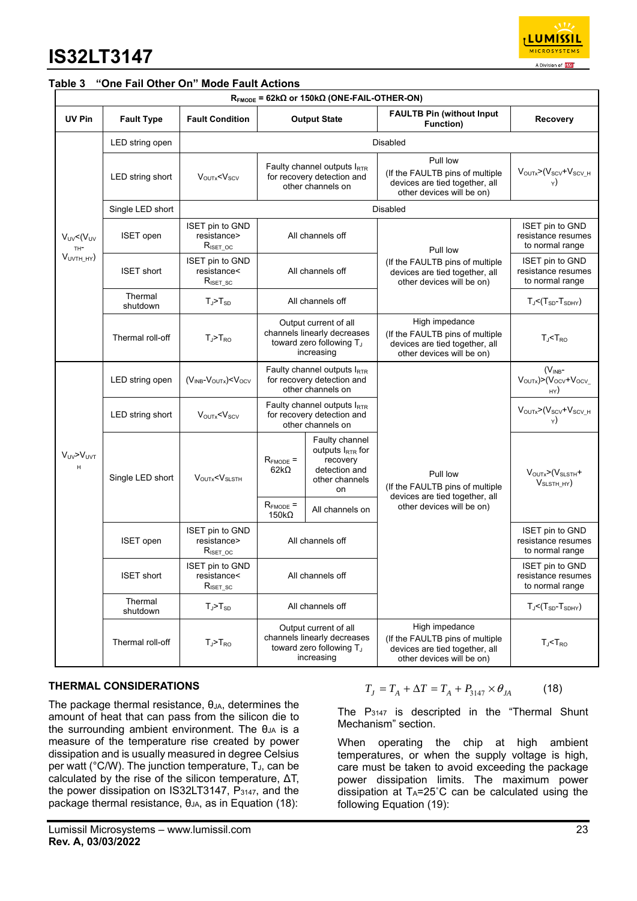

#### **Table 3 "One Fail Other On" Mode Fault Actions**

|                                         | $R_{FMODE}$ = 62k $\Omega$ or 150k $\Omega$ (ONE-FAIL-OTHER-ON) |                                                                      |                                                                                                |                                                                                                            |                                                                                                                  |                                                                                 |                                            |  |  |  |
|-----------------------------------------|-----------------------------------------------------------------|----------------------------------------------------------------------|------------------------------------------------------------------------------------------------|------------------------------------------------------------------------------------------------------------|------------------------------------------------------------------------------------------------------------------|---------------------------------------------------------------------------------|--------------------------------------------|--|--|--|
| UV Pin                                  | <b>Fault Type</b>                                               | <b>Fault Condition</b>                                               |                                                                                                | <b>Output State</b>                                                                                        | <b>FAULTB Pin (without Input)</b><br><b>Function</b> )                                                           | <b>Recovery</b>                                                                 |                                            |  |  |  |
|                                         | LED string open                                                 |                                                                      |                                                                                                |                                                                                                            | <b>Disabled</b>                                                                                                  |                                                                                 |                                            |  |  |  |
|                                         | LED string short                                                | $V_{\text{OUTx}} < V_{\text{SCV}}$                                   |                                                                                                | Faulty channel outputs $I_{RTR}$<br>for recovery detection and<br>other channels on                        | Pull low<br>(If the FAULTB pins of multiple<br>devices are tied together, all<br>other devices will be on)       | VOUTx>(Vscv+Vscv_H                                                              |                                            |  |  |  |
|                                         | Single LED short                                                |                                                                      |                                                                                                |                                                                                                            | Disabled                                                                                                         |                                                                                 |                                            |  |  |  |
| $V_{UV}$ < $(V_{UV}$<br>TH <sup>-</sup> | <b>ISET</b> open                                                | <b>ISET pin to GND</b><br>resistance><br>$R_{\text{ISET} \text{OC}}$ |                                                                                                | All channels off                                                                                           | Pull low                                                                                                         | <b>ISET pin to GND</b><br>resistance resumes<br>to normal range                 |                                            |  |  |  |
| $VUVTH_HY$                              | <b>ISET short</b>                                               | <b>ISET pin to GND</b><br>resistance<<br>$R_{\text{ISET\_SC}}$       |                                                                                                | All channels off                                                                                           | (If the FAULTB pins of multiple<br>devices are tied together, all<br>other devices will be on)                   | ISET pin to GND<br>resistance resumes<br>to normal range                        |                                            |  |  |  |
|                                         | Thermal<br>shutdown                                             | $T_J > T_{SD}$                                                       | All channels off                                                                               |                                                                                                            |                                                                                                                  | $T_{J}$ < $(T_{SD}$ - $T_{SDHY})$                                               |                                            |  |  |  |
|                                         | Thermal roll-off                                                | $T_J > T_{RO}$                                                       | Output current of all<br>channels linearly decreases<br>toward zero following TJ<br>increasing |                                                                                                            | High impedance<br>(If the FAULTB pins of multiple<br>devices are tied together, all<br>other devices will be on) | $T_{J}$ < $T_{RO}$                                                              |                                            |  |  |  |
|                                         | LED string open                                                 | $(V_{INB} - V_{OUTX}) < V_{OCV}$                                     | Faulty channel outputs IRTR<br>for recovery detection and<br>other channels on                 |                                                                                                            |                                                                                                                  | $(V_{INB}$ -<br>$V_{\text{OUTX}}$ $> (V_{\text{OCV}} + V_{\text{OCV}})$<br>H(X) |                                            |  |  |  |
|                                         | LED string short                                                | $V_{\text{OUTx}} < V_{\text{SCV}}$                                   |                                                                                                | Faulty channel outputs $I_{RTR}$<br>for recovery detection and<br>other channels on                        |                                                                                                                  | $VOUTX>(VSCV+VSCV_H)$                                                           |                                            |  |  |  |
| $V_{UV} > V_{UV}$<br>H                  | Single LED short                                                |                                                                      | $V_{\text{OUTX}} < V_{\text{SLSTH}}$                                                           | $R_{FMODE}$ =<br>$62k\Omega$                                                                               | Faulty channel<br>outputs $I_{\text{RTR}}$ for<br>recovery<br>detection and<br>other channels<br>on              | Pull low<br>(If the FAULTB pins of multiple<br>devices are tied together, all   | $VOUTX>(VSLSTH +$<br>V <sub>SLSTH HY</sub> |  |  |  |
|                                         |                                                                 |                                                                      | $R_{FMODE}$ =<br>$150k\Omega$                                                                  | All channels on                                                                                            | other devices will be on)                                                                                        |                                                                                 |                                            |  |  |  |
|                                         | <b>ISET</b> open                                                | <b>ISET pin to GND</b><br>resistance><br>$R_{\text{ISET\_OC}}$       |                                                                                                | All channels off                                                                                           |                                                                                                                  | <b>ISET pin to GND</b><br>resistance resumes<br>to normal range                 |                                            |  |  |  |
|                                         | <b>ISET short</b>                                               | <b>ISET pin to GND</b><br>resistance<<br>$R_{\text{ISET\_SC}}$       | All channels off                                                                               |                                                                                                            |                                                                                                                  | <b>ISET pin to GND</b><br>resistance resumes<br>to normal range                 |                                            |  |  |  |
|                                         | Thermal<br>shutdown                                             | $T_J > T_{SD}$                                                       |                                                                                                | All channels off                                                                                           |                                                                                                                  | $T_J < (T_{SD} - T_{SDHY})$                                                     |                                            |  |  |  |
|                                         | Thermal roll-off                                                | $T_J$ > $T_{RO}$                                                     |                                                                                                | Output current of all<br>channels linearly decreases<br>toward zero following T <sub>J</sub><br>increasing | High impedance<br>(If the FAULTB pins of multiple<br>devices are tied together, all<br>other devices will be on) | $T_J$ < $T_{RO}$                                                                |                                            |  |  |  |

### **THERMAL CONSIDERATIONS**

The package thermal resistance,  $\theta_{JA}$ , determines the amount of heat that can pass from the silicon die to the surrounding ambient environment. The  $\theta_{JA}$  is a measure of the temperature rise created by power dissipation and is usually measured in degree Celsius per watt (°C/W). The junction temperature, T<sub>J</sub>, can be calculated by the rise of the silicon temperature, ΔT, the power dissipation on IS32LT3147,  $P_{3147}$ , and the package thermal resistance,  $θ<sub>JA</sub>$ , as in Equation (18):

$$
T_J = T_A + \Delta T = T_A + P_{3147} \times \theta_{JA} \tag{18}
$$

The  $P_{3147}$  is descripted in the "Thermal Shunt Mechanism" section.

When operating the chip at high ambient temperatures, or when the supply voltage is high, care must be taken to avoid exceeding the package power dissipation limits. The maximum power dissipation at  $T_A = 25^\circ \text{C}$  can be calculated using the following Equation (19):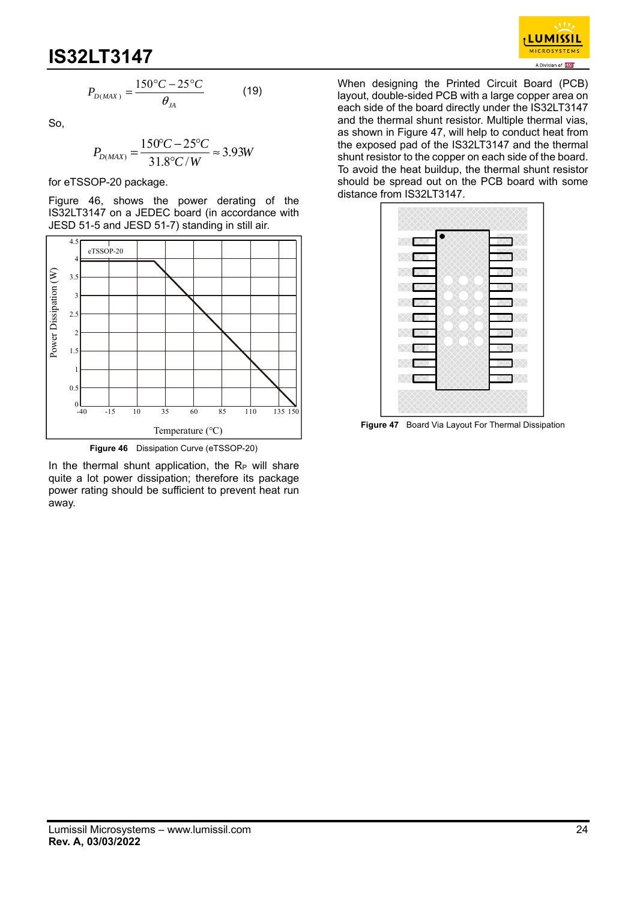

$$
P_{D(MAX)} = \frac{150\degree C - 25\degree C}{\theta_{JA}}\tag{19}
$$

So,

$$
P_{D(MAX)} = \frac{150^{\circ}C - 25^{\circ}C}{31.8^{\circ}C/W} \approx 3.93W
$$

for eTSSOP-20 package.

Figure 46, shows the power derating of the IS32LT3147 on a JEDEC board (in accordance with JESD 51-5 and JESD 51-7) standing in still air.



In the thermal shunt application, the  $R_P$  will share quite a lot power dissipation; therefore its package power rating should be sufficient to prevent heat run away.

When designing the Printed Circuit Board (PCB) layout, double-sided PCB with a large copper area on each side of the board directly under the IS32LT3147 and the thermal shunt resistor. Multiple thermal vias, as shown in Figure 47, will help to conduct heat from the exposed pad of the IS32LT3147 and the thermal shunt resistor to the copper on each side of the board. To avoid the heat buildup, the thermal shunt resistor should be spread out on the PCB board with some distance from IS32LT3147.



**Figure 47** Board Via Layout For Thermal Dissipation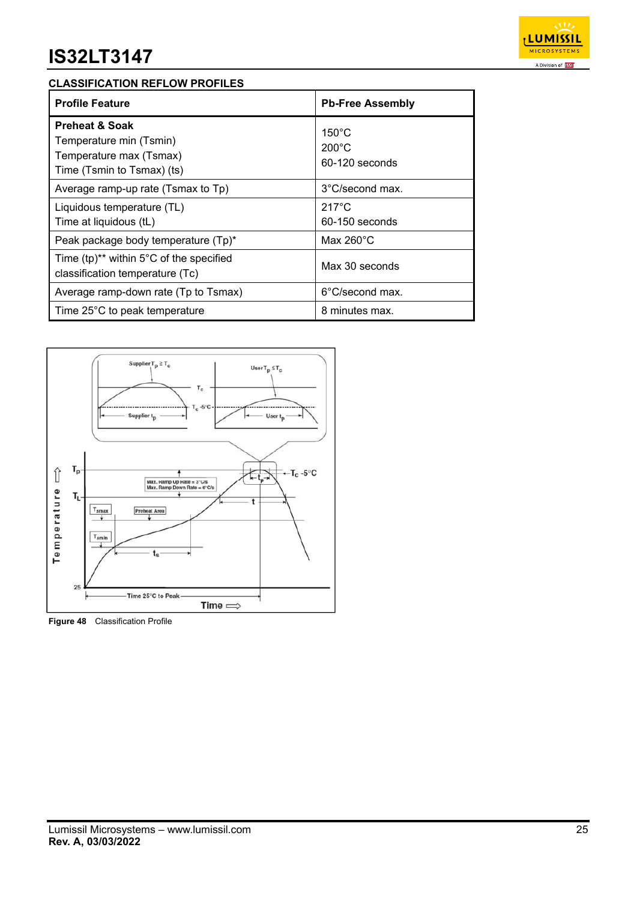

### **CLASSIFICATION REFLOW PROFILES**

| <b>Profile Feature</b>                                                                                        | <b>Pb-Free Assembly</b>                              |
|---------------------------------------------------------------------------------------------------------------|------------------------------------------------------|
| <b>Preheat &amp; Soak</b><br>Temperature min (Tsmin)<br>Temperature max (Tsmax)<br>Time (Tsmin to Tsmax) (ts) | $150^{\circ}$ C<br>$200^{\circ}$ C<br>60-120 seconds |
| Average ramp-up rate (Tsmax to Tp)                                                                            | 3°C/second max.                                      |
| Liquidous temperature (TL)<br>Time at liquidous (tL)                                                          | $217^{\circ}$ C<br>$60-150$ seconds                  |
| Peak package body temperature (Tp)*                                                                           | Max $260^{\circ}$ C                                  |
| Time $(tp)^{**}$ within 5°C of the specified<br>classification temperature (Tc)                               | Max 30 seconds                                       |
| Average ramp-down rate (Tp to Tsmax)                                                                          | 6°C/second max.                                      |
| Time 25°C to peak temperature                                                                                 | 8 minutes max.                                       |



**Figure 48** Classification Profile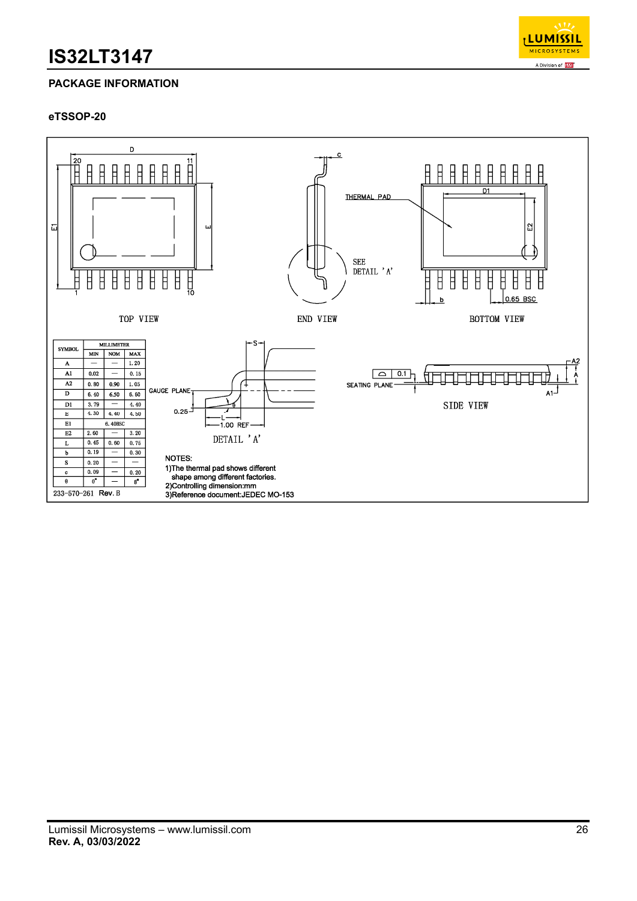

## **PACKAGE INFORMATION**

### **eTSSOP-20**

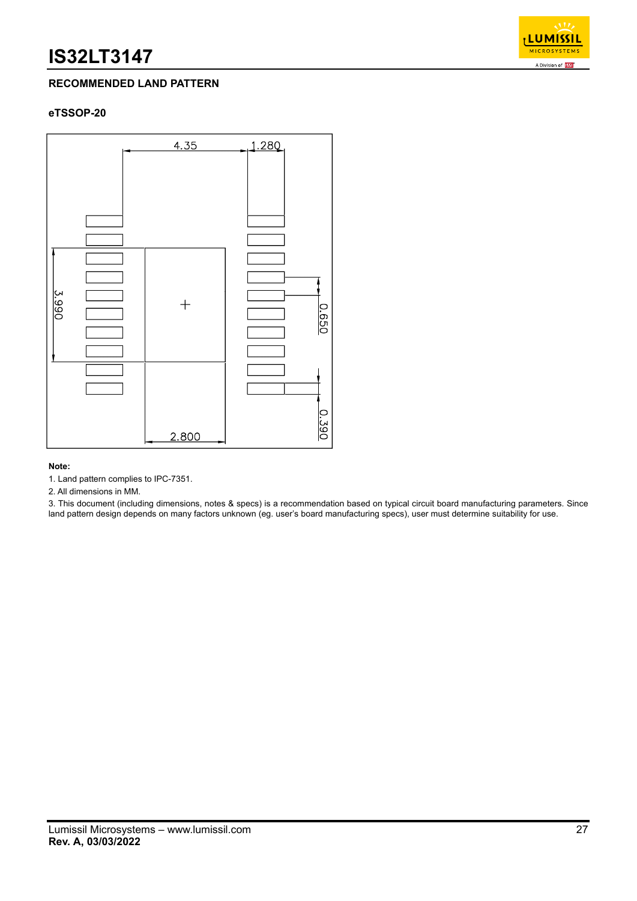

## **RECOMMENDED LAND PATTERN**

### **eTSSOP-20**



#### **Note:**

1. Land pattern complies to IPC-7351.

2. All dimensions in MM.

3. This document (including dimensions, notes & specs) is a recommendation based on typical circuit board manufacturing parameters. Since land pattern design depends on many factors unknown (eg. user's board manufacturing specs), user must determine suitability for use.